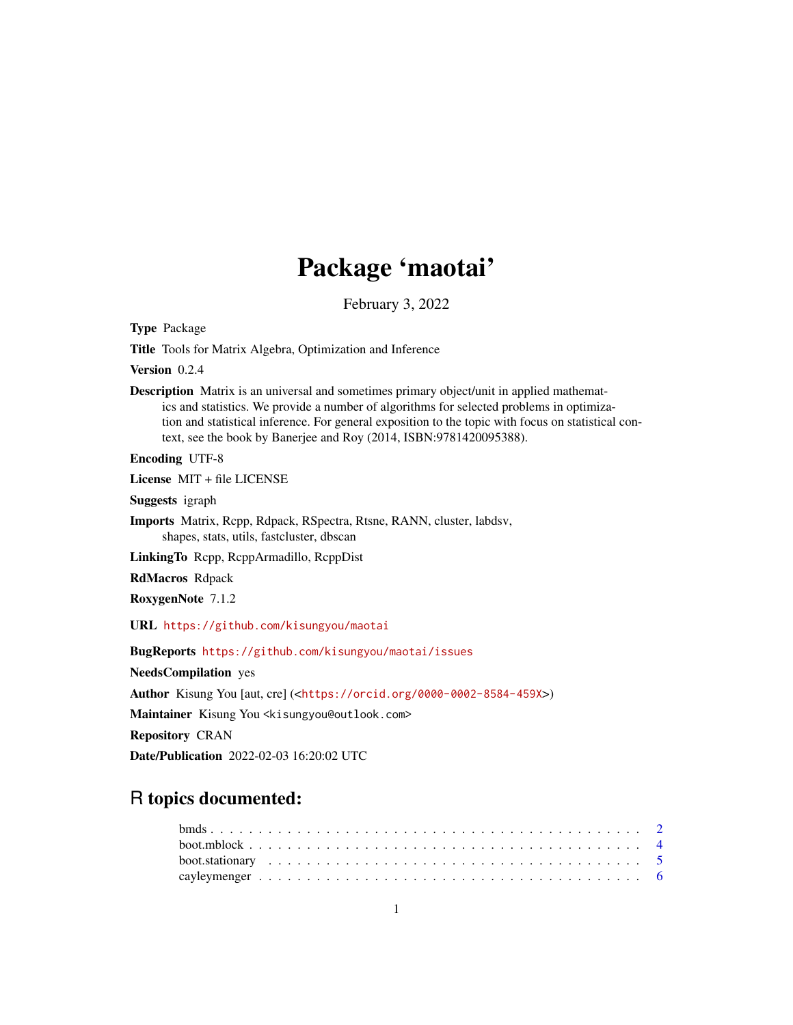# Package 'maotai'

February 3, 2022

<span id="page-0-0"></span>Type Package

Title Tools for Matrix Algebra, Optimization and Inference

Version 0.2.4

Description Matrix is an universal and sometimes primary object/unit in applied mathematics and statistics. We provide a number of algorithms for selected problems in optimization and statistical inference. For general exposition to the topic with focus on statistical context, see the book by Banerjee and Roy (2014, ISBN:9781420095388).

Encoding UTF-8

License MIT + file LICENSE

Suggests igraph

Imports Matrix, Rcpp, Rdpack, RSpectra, Rtsne, RANN, cluster, labdsv, shapes, stats, utils, fastcluster, dbscan

LinkingTo Rcpp, RcppArmadillo, RcppDist

RdMacros Rdpack

RoxygenNote 7.1.2

URL <https://github.com/kisungyou/maotai>

BugReports <https://github.com/kisungyou/maotai/issues>

NeedsCompilation yes

Author Kisung You [aut, cre] (<<https://orcid.org/0000-0002-8584-459X>>)

Maintainer Kisung You <kisungyou@outlook.com>

Repository CRAN

Date/Publication 2022-02-03 16:20:02 UTC

# R topics documented: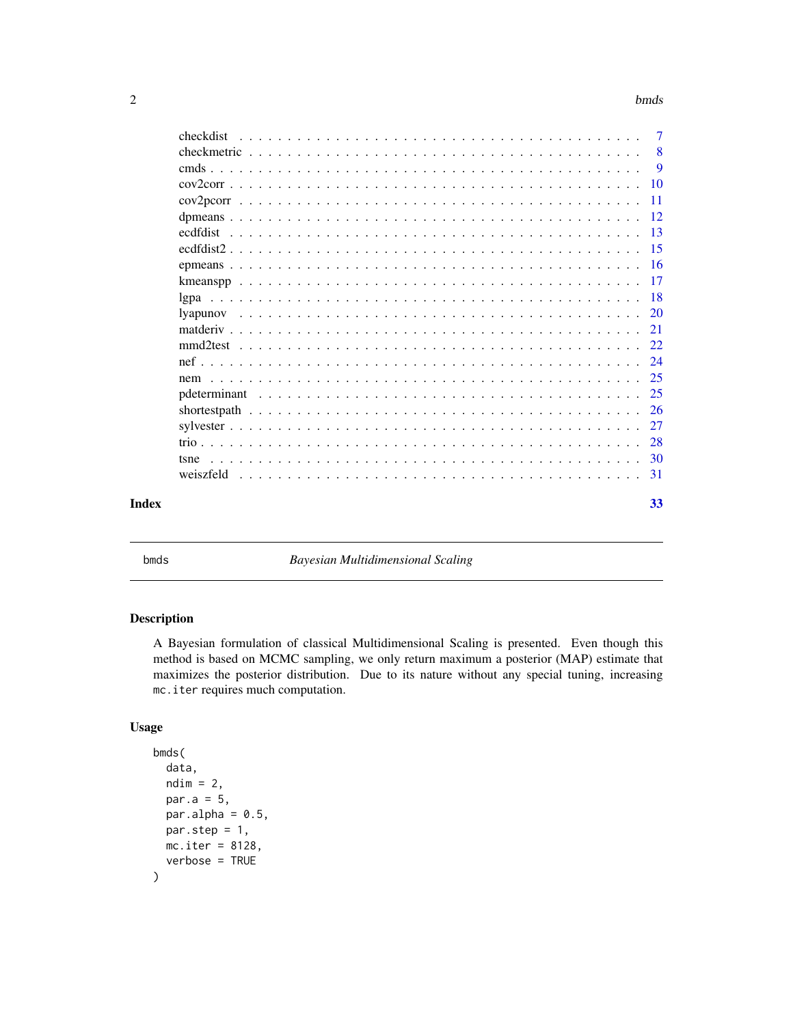#### <span id="page-1-0"></span> $2$  bmds  $\mathbf{b}$ mds  $\mathbf{b}$  and  $\mathbf{b}$  and  $\mathbf{b}$  and  $\mathbf{b}$  and  $\mathbf{b}$  and  $\mathbf{b}$  and  $\mathbf{b}$  and  $\mathbf{b}$  and  $\mathbf{b}$  and  $\mathbf{b}$  and  $\mathbf{b}$  and  $\mathbf{b}$  and  $\mathbf{b}$  and  $\mathbf{b}$  and  $\mathbf{b}$  and  $\mathbf{$

| checkdist | $\overline{7}$ |
|-----------|----------------|
|           | 8              |
|           | 9              |
|           |                |
|           | $-11$          |
|           |                |
|           |                |
|           |                |
|           |                |
|           |                |
|           |                |
|           |                |
|           |                |
|           |                |
|           |                |
|           |                |
|           |                |
|           |                |
|           |                |
|           |                |
|           |                |
|           |                |
|           |                |
| Index     | 33             |

bmds *Bayesian Multidimensional Scaling*

# Description

A Bayesian formulation of classical Multidimensional Scaling is presented. Even though this method is based on MCMC sampling, we only return maximum a posterior (MAP) estimate that maximizes the posterior distribution. Due to its nature without any special tuning, increasing mc.iter requires much computation.

# Usage

```
bmds(
  data,
  ndim = 2,par.a = 5,
  par.alpha = 0.5,
  par.step = 1,
  mc.iter = 8128,verbose = TRUE
\mathcal{E}
```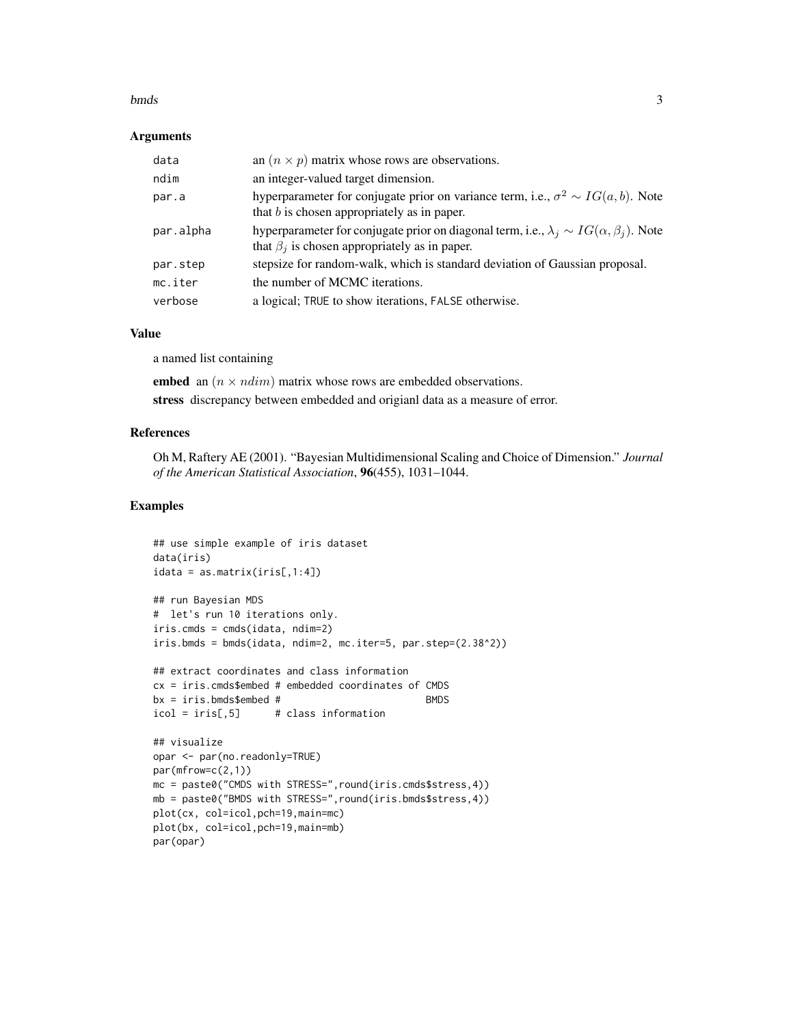#### bmds 3

#### Arguments

| data      | an $(n \times p)$ matrix whose rows are observations.                                                                                                         |
|-----------|---------------------------------------------------------------------------------------------------------------------------------------------------------------|
| ndim      | an integer-valued target dimension.                                                                                                                           |
| par.a     | hyperparameter for conjugate prior on variance term, i.e., $\sigma^2 \sim IG(a, b)$ . Note<br>that $b$ is chosen appropriately as in paper.                   |
| par.alpha | hyperparameter for conjugate prior on diagonal term, i.e., $\lambda_i \sim IG(\alpha, \beta_i)$ . Note<br>that $\beta_j$ is chosen appropriately as in paper. |
| par.step  | stepsize for random-walk, which is standard deviation of Gaussian proposal.                                                                                   |
| mc.iter   | the number of MCMC iterations.                                                                                                                                |
| verbose   | a logical; TRUE to show iterations, FALSE otherwise.                                                                                                          |

# Value

a named list containing

embed an  $(n \times ndim)$  matrix whose rows are embedded observations. stress discrepancy between embedded and origianl data as a measure of error.

### References

Oh M, Raftery AE (2001). "Bayesian Multidimensional Scaling and Choice of Dimension." *Journal of the American Statistical Association*, 96(455), 1031–1044.

```
## use simple example of iris dataset
data(iris)
idata = as_matrix(iris[,1:4])## run Bayesian MDS
# let's run 10 iterations only.
iris.cmds = cmds(idata, ndim=2)
iris.bmds = bmds(idata, ndim=2, mc.iter=5, par.step=(2.38^2))
## extract coordinates and class information
cx = iris.cmds$embed # embedded coordinates of CMDS
bx = iris.bmds$embed # BMDS
icol = iris[,5] # class information
## visualize
opar <- par(no.readonly=TRUE)
par(mfrow=c(2,1))
mc = paste0("CMDS with STRESS=",round(iris.cmds$stress,4))
mb = paste0("BMDS with STRESS=",round(iris.bmds$stress,4))
plot(cx, col=icol,pch=19,main=mc)
plot(bx, col=icol,pch=19,main=mb)
par(opar)
```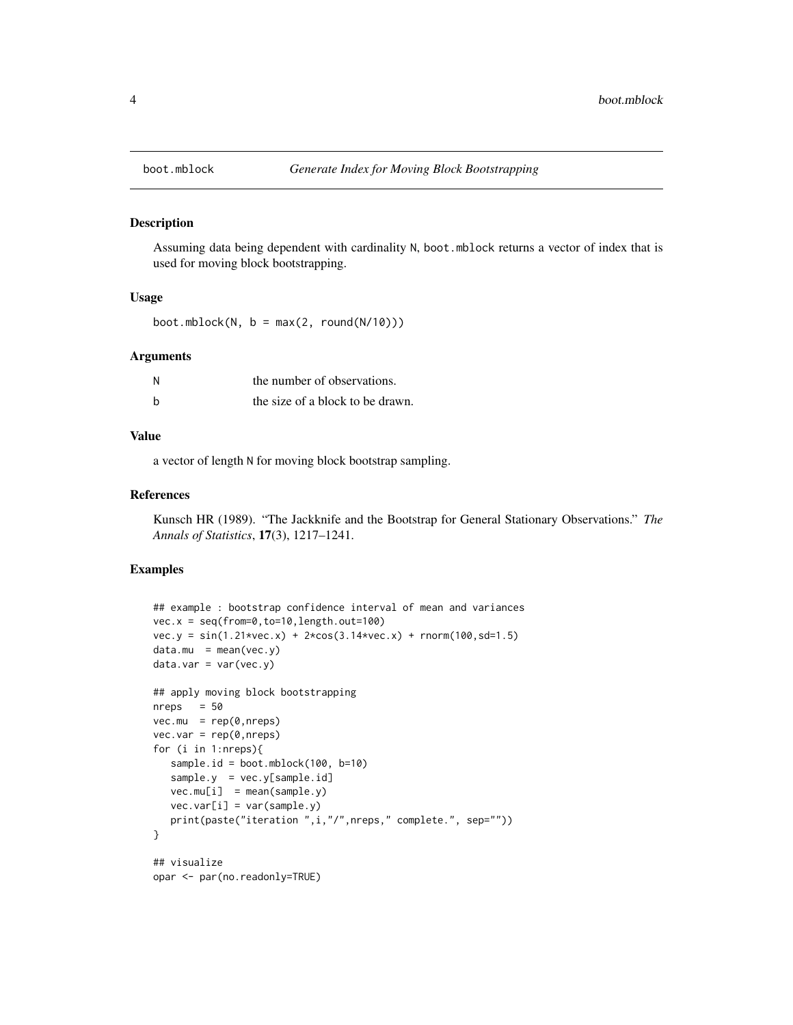<span id="page-3-0"></span>

Assuming data being dependent with cardinality N, boot.mblock returns a vector of index that is used for moving block bootstrapping.

# Usage

boot.mblock( $N, b = max(2, round(N/10)))$ 

#### Arguments

| N | the number of observations.      |
|---|----------------------------------|
| h | the size of a block to be drawn. |

#### Value

a vector of length N for moving block bootstrap sampling.

#### References

Kunsch HR (1989). "The Jackknife and the Bootstrap for General Stationary Observations." *The Annals of Statistics*, 17(3), 1217–1241.

```
## example : bootstrap confidence interval of mean and variances
vec.x = seq(from=0, to=10, length.out=100)vec.y = sin(1.21*vec.x) + 2*cos(3.14*vec.x) + rnorm(100, sd=1.5)data.mu = mean(vec.y)data.var = var(vec.y)## apply moving block bootstrapping
nreps = 50vec.mu = rep(0,nreps)vec.var = rep(0,nreps)for (i in 1:nreps){
   sample.id = boot.mblock(100, b=10)
   sample.y = vec.y[sample.id]
   vec.mu[i] = mean(sample.y)
   vec.var[i] = var(sample.y)print(paste("iteration ",i,"/",nreps," complete.", sep=""))
}
## visualize
opar <- par(no.readonly=TRUE)
```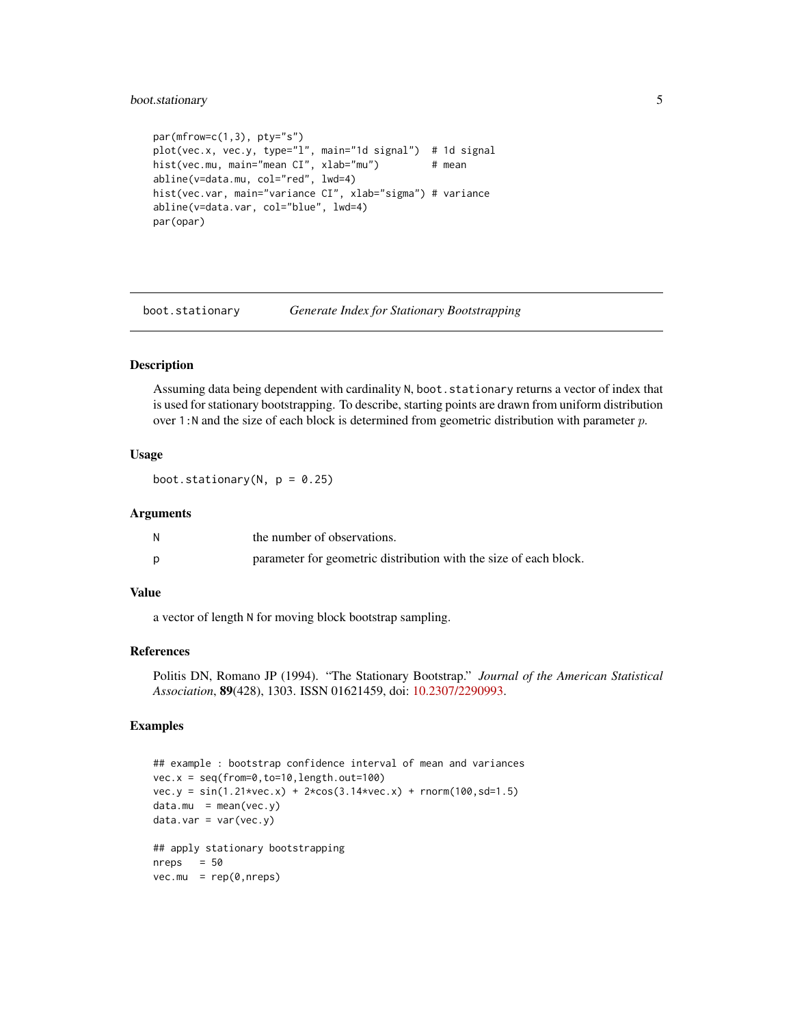# <span id="page-4-0"></span>boot.stationary 5

```
par(mfrow=c(1,3), pty='s")plot(vec.x, vec.y, type="l", main="1d signal") # 1d signal
hist(vec.mu, main="mean CI", xlab="mu") # mean
abline(v=data.mu, col="red", lwd=4)
hist(vec.var, main="variance CI", xlab="sigma") # variance
abline(v=data.var, col="blue", lwd=4)
par(opar)
```
boot.stationary *Generate Index for Stationary Bootstrapping*

#### Description

Assuming data being dependent with cardinality N, boot.stationary returns a vector of index that is used for stationary bootstrapping. To describe, starting points are drawn from uniform distribution over 1:N and the size of each block is determined from geometric distribution with parameter  $p$ .

#### Usage

boot.stationary( $N$ ,  $p = 0.25$ )

# Arguments

| the number of observations.                                       |
|-------------------------------------------------------------------|
| parameter for geometric distribution with the size of each block. |

# Value

a vector of length N for moving block bootstrap sampling.

#### References

Politis DN, Romano JP (1994). "The Stationary Bootstrap." *Journal of the American Statistical Association*, 89(428), 1303. ISSN 01621459, doi: [10.2307/2290993.](https://doi.org/10.2307/2290993)

```
## example : bootstrap confidence interval of mean and variances
vec.x = seq(from=0, to=10, length.out=100)vec.y = sin(1.21*vec.x) + 2*cos(3.14*vec.x) + rnorm(100, sd=1.5)data.mu = mean(vec.y)data.var = var(vec.y)## apply stationary bootstrapping
nreps = 50vec.mu = rep(0,nreps)
```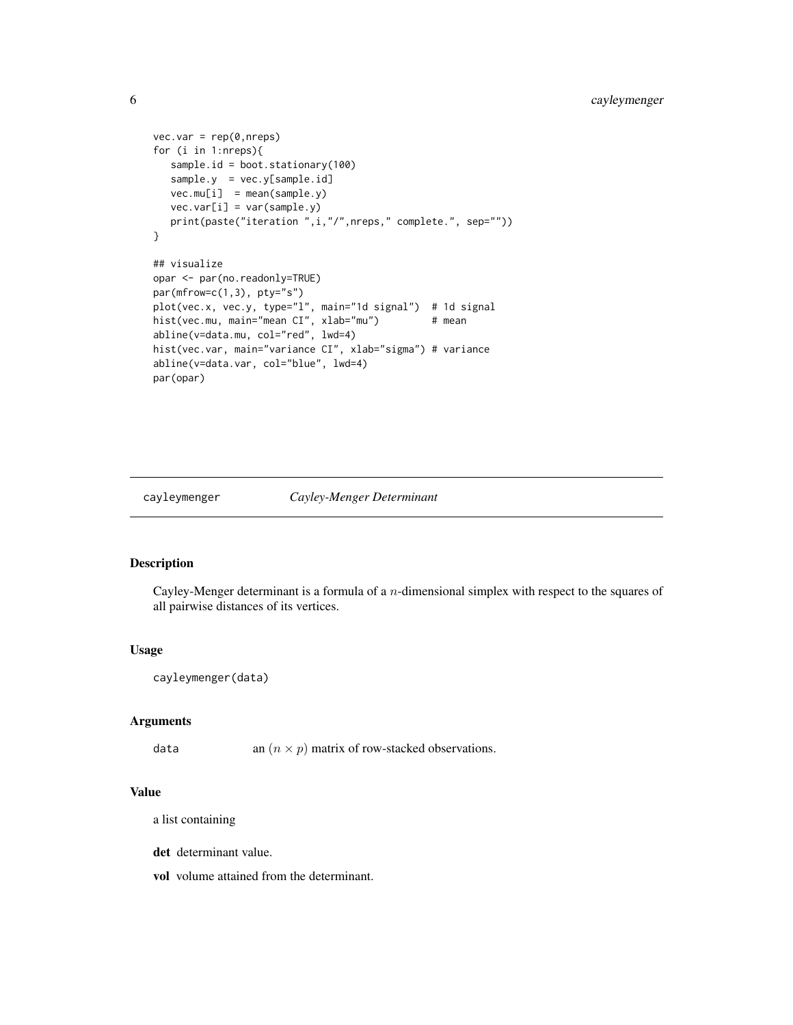```
vec.var = rep(0,nreps)for (i in 1:nreps){
  sample.id = boot.stationary(100)
  sample.y = vec.y[sample.id]
  vec.mu[i] = mean(sample.y)vec.var[i] = var(sample.y)
  print(paste("iteration ",i,"/",nreps," complete.", sep=""))
}
## visualize
opar <- par(no.readonly=TRUE)
par(mfrow=c(1,3), pty="s")
plot(vec.x, vec.y, type="l", main="1d signal") # 1d signal
hist(vec.mu, main="mean CI", xlab="mu") # mean
abline(v=data.mu, col="red", lwd=4)
hist(vec.var, main="variance CI", xlab="sigma") # variance
abline(v=data.var, col="blue", lwd=4)
par(opar)
```
### cayleymenger *Cayley-Menger Determinant*

# Description

Cayley-Menger determinant is a formula of a n-dimensional simplex with respect to the squares of all pairwise distances of its vertices.

#### Usage

```
cayleymenger(data)
```
#### Arguments

data an  $(n \times p)$  matrix of row-stacked observations.

#### Value

a list containing

det determinant value.

vol volume attained from the determinant.

<span id="page-5-0"></span>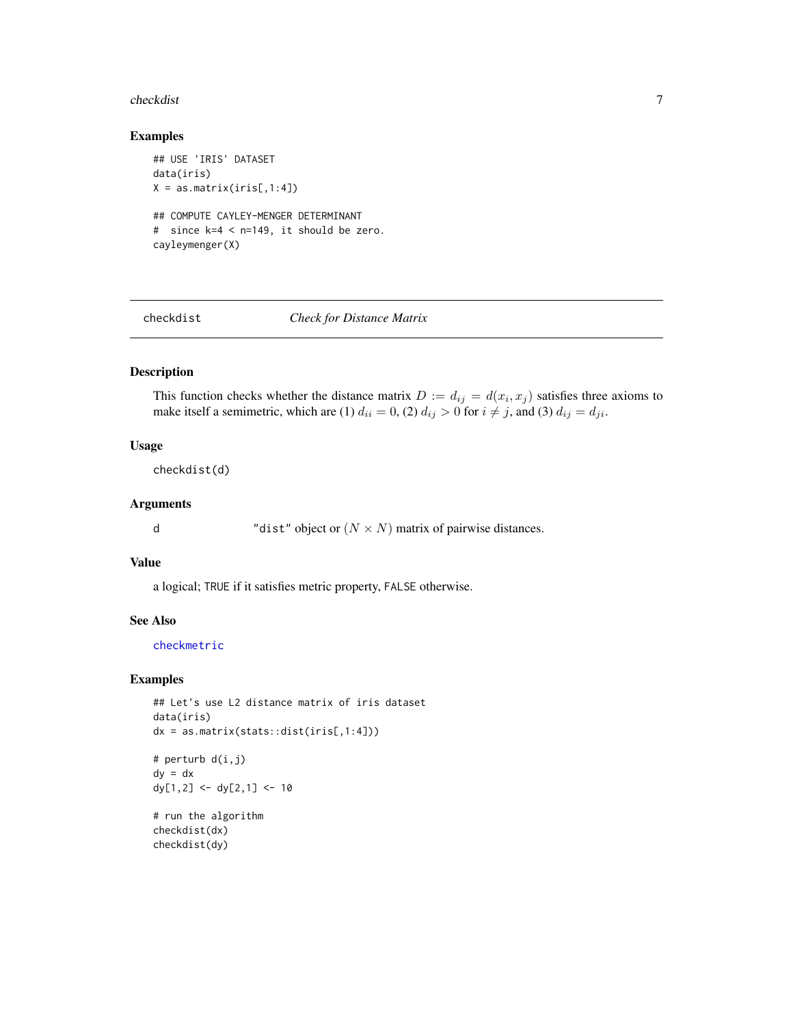#### <span id="page-6-0"></span>checkdist 7

# Examples

```
## USE 'IRIS' DATASET
data(iris)
X = as_matrix(iris[,1:4])## COMPUTE CAYLEY-MENGER DETERMINANT
# since k=4 < n=149, it should be zero.
cayleymenger(X)
```
<span id="page-6-1"></span>

checkdist *Check for Distance Matrix*

# Description

This function checks whether the distance matrix  $D := d_{ij} = d(x_i, x_j)$  satisfies three axioms to make itself a semimetric, which are (1)  $d_{ii} = 0$ , (2)  $d_{ij} > 0$  for  $i \neq j$ , and (3)  $d_{ij} = d_{ji}$ .

# Usage

checkdist(d)

# Arguments

d  $"dist" object or (N \times N) matrix of pairwise distances.$ 

# Value

a logical; TRUE if it satisfies metric property, FALSE otherwise.

#### See Also

[checkmetric](#page-7-1)

#### Examples

```
## Let's use L2 distance matrix of iris dataset
data(iris)
dx = as_matrix(stats::dist(iris[,1:4]))# perturb d(i,j)
dy = dxdy[1,2] <- dy[2,1] <- 10
# run the algorithm
```
checkdist(dx) checkdist(dy)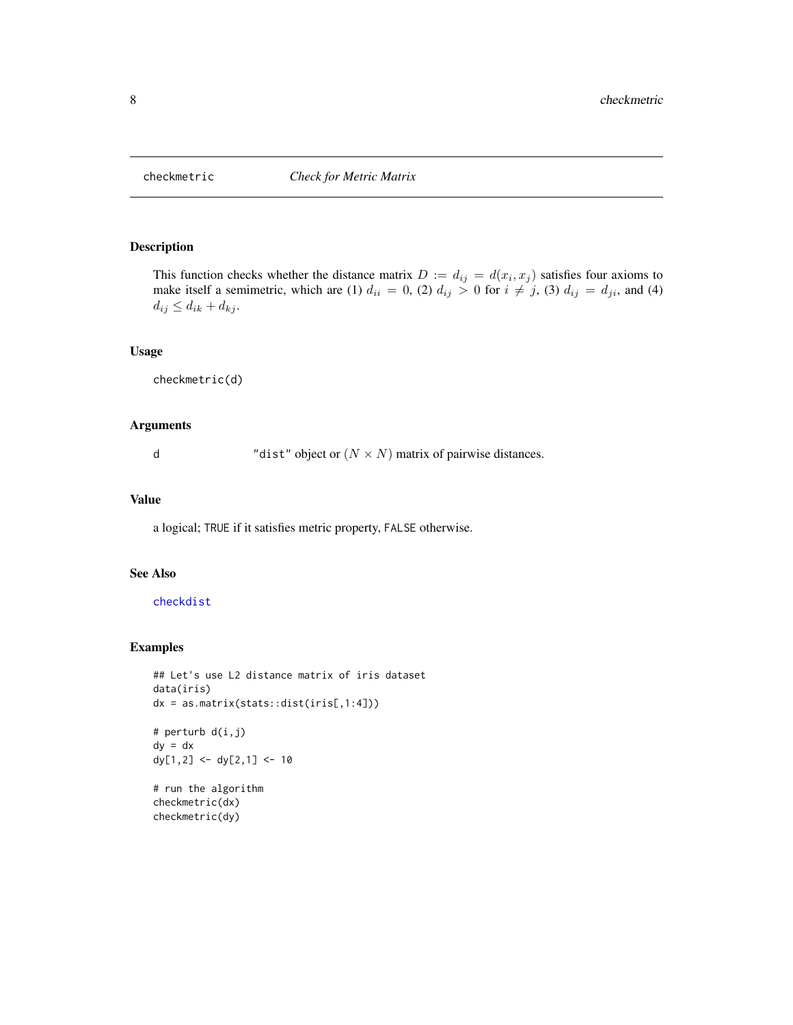<span id="page-7-1"></span><span id="page-7-0"></span>

This function checks whether the distance matrix  $D := d_{ij} = d(x_i, x_j)$  satisfies four axioms to make itself a semimetric, which are (1)  $d_{ii} = 0$ , (2)  $d_{ij} > 0$  for  $i \neq j$ , (3)  $d_{ij} = d_{ji}$ , and (4)  $d_{ij} \leq d_{ik} + d_{kj}.$ 

#### Usage

checkmetric(d)

# Arguments

d "dist" object or  $(N \times N)$  matrix of pairwise distances.

# Value

a logical; TRUE if it satisfies metric property, FALSE otherwise.

#### See Also

# [checkdist](#page-6-1)

```
## Let's use L2 distance matrix of iris dataset
data(iris)
dx = as_matrix(stats::dist(iris[,1:4]))# perturb d(i,j)
dy = dx
dy[1,2] <- dy[2,1] <- 10
```

```
# run the algorithm
checkmetric(dx)
checkmetric(dy)
```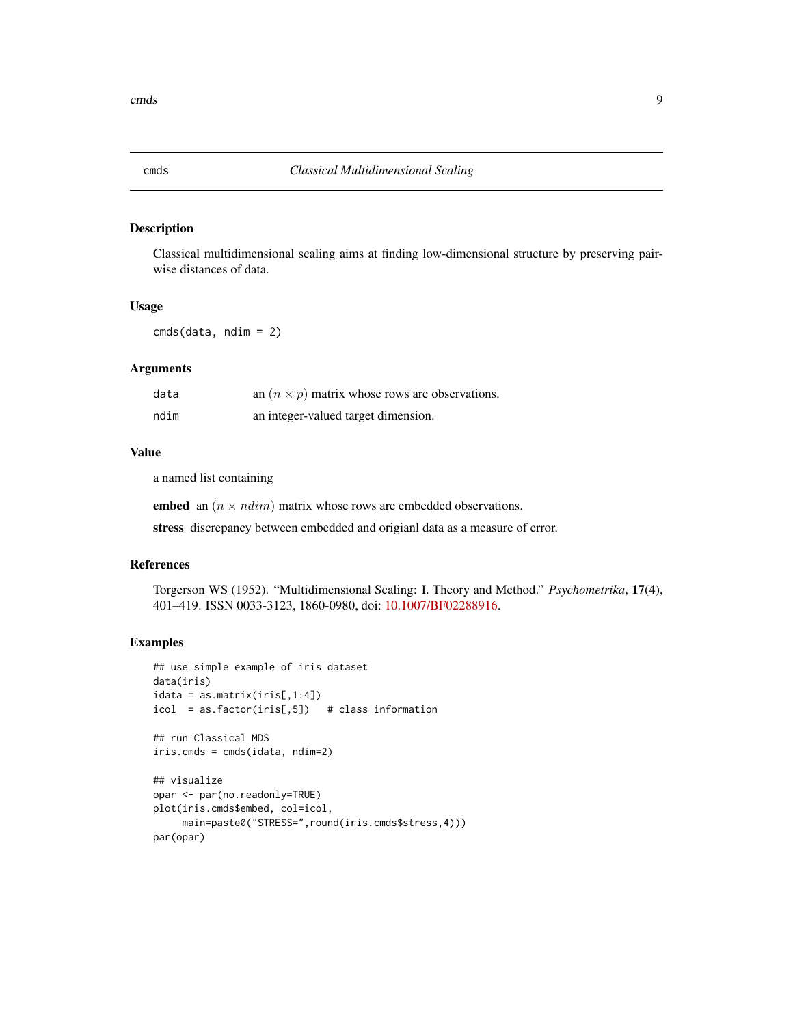<span id="page-8-0"></span>

Classical multidimensional scaling aims at finding low-dimensional structure by preserving pairwise distances of data.

### Usage

cmds(data, ndim = 2)

#### Arguments

| data | an $(n \times p)$ matrix whose rows are observations. |
|------|-------------------------------------------------------|
| ndim | an integer-valued target dimension.                   |

#### Value

a named list containing

embed an  $(n \times ndim)$  matrix whose rows are embedded observations.

stress discrepancy between embedded and origianl data as a measure of error.

# References

Torgerson WS (1952). "Multidimensional Scaling: I. Theory and Method." *Psychometrika*, 17(4), 401–419. ISSN 0033-3123, 1860-0980, doi: [10.1007/BF02288916.](https://doi.org/10.1007/BF02288916)

```
## use simple example of iris dataset
data(iris)
idata = as_matrix(iris[,1:4])icol = as.factor(iris[,5]) # class information
## run Classical MDS
iris.cmds = cmds(idata, ndim=2)
## visualize
opar <- par(no.readonly=TRUE)
plot(iris.cmds$embed, col=icol,
    main=paste0("STRESS=",round(iris.cmds$stress,4)))
par(opar)
```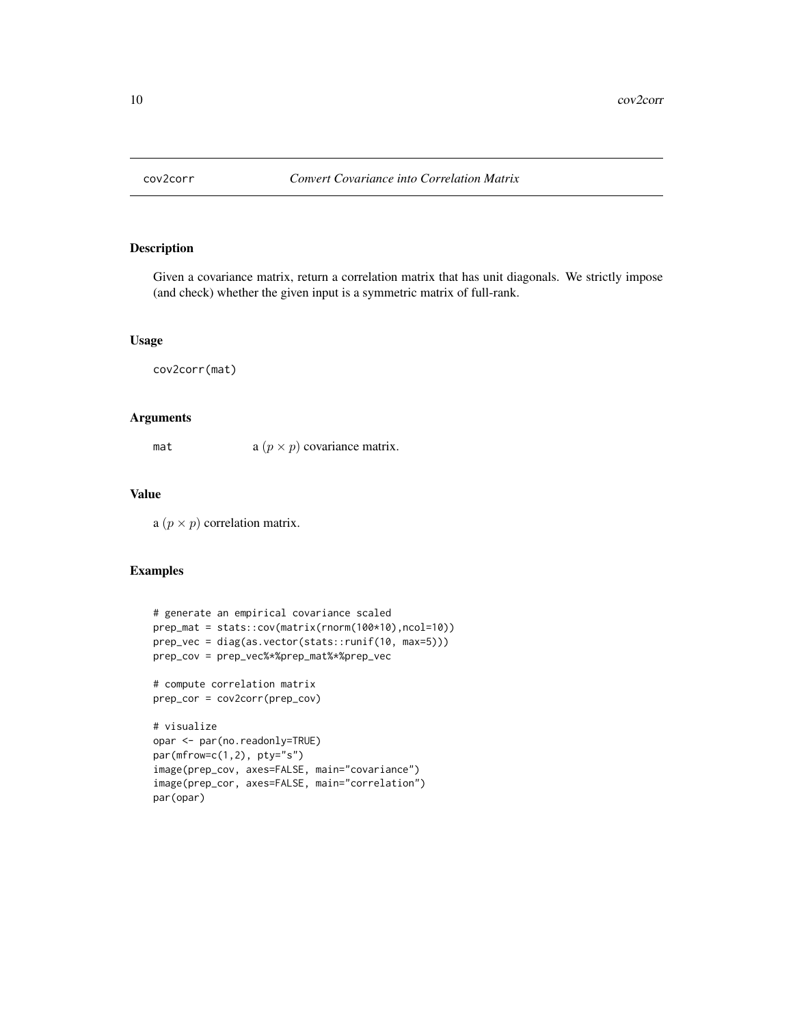<span id="page-9-0"></span>

Given a covariance matrix, return a correlation matrix that has unit diagonals. We strictly impose (and check) whether the given input is a symmetric matrix of full-rank.

# Usage

```
cov2corr(mat)
```
# Arguments

mat  $a (p \times p)$  covariance matrix.

# Value

a  $(p \times p)$  correlation matrix.

```
# generate an empirical covariance scaled
prep_mat = stats::cov(matrix(rnorm(100*10),ncol=10))
prep_vec = diag(as.vector(stats::runif(10, max=5)))
prep_cov = prep_vec%*%prep_mat%*%prep_vec
# compute correlation matrix
prep_cor = cov2corr(prep_cov)
# visualize
opar <- par(no.readonly=TRUE)
par(mfrow=c(1,2), pty="s")
image(prep_cov, axes=FALSE, main="covariance")
image(prep_cor, axes=FALSE, main="correlation")
par(opar)
```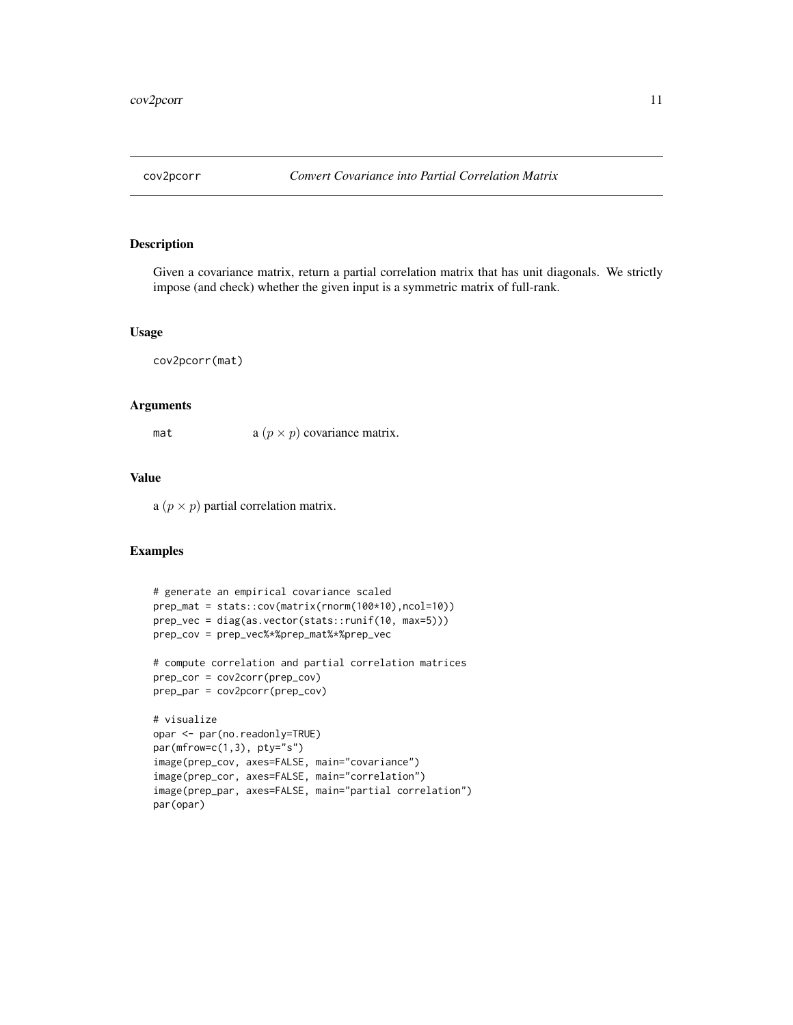<span id="page-10-0"></span>

Given a covariance matrix, return a partial correlation matrix that has unit diagonals. We strictly impose (and check) whether the given input is a symmetric matrix of full-rank.

#### Usage

cov2pcorr(mat)

# Arguments

mat  $a (p \times p)$  covariance matrix.

# Value

a  $(p \times p)$  partial correlation matrix.

```
# generate an empirical covariance scaled
prep_mat = stats::cov(matrix(rnorm(100*10),ncol=10))
prep_vec = diag(as.vector(stats::runif(10, max=5)))
prep_cov = prep_vec%*%prep_mat%*%prep_vec
# compute correlation and partial correlation matrices
prep_cor = cov2corr(prep_cov)
prep_par = cov2pcorr(prep_cov)
# visualize
opar <- par(no.readonly=TRUE)
par(mfrow=c(1,3), pty="s")
```

```
image(prep_cov, axes=FALSE, main="covariance")
image(prep_cor, axes=FALSE, main="correlation")
image(prep_par, axes=FALSE, main="partial correlation")
par(opar)
```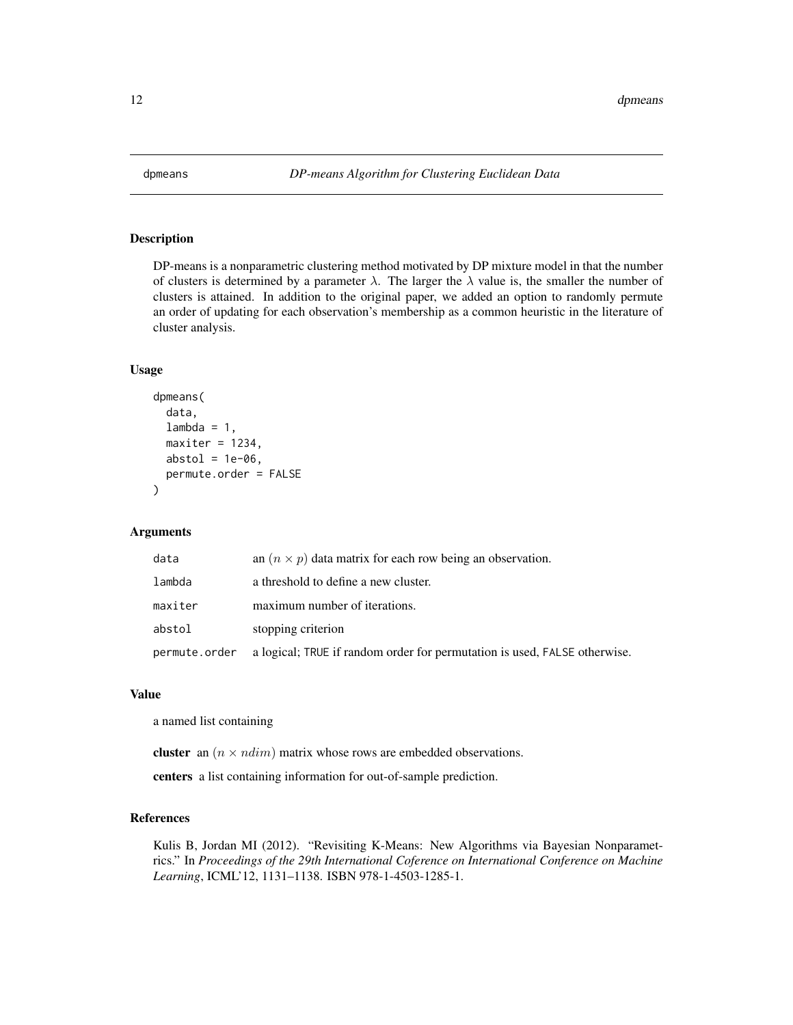<span id="page-11-0"></span>

DP-means is a nonparametric clustering method motivated by DP mixture model in that the number of clusters is determined by a parameter  $\lambda$ . The larger the  $\lambda$  value is, the smaller the number of clusters is attained. In addition to the original paper, we added an option to randomly permute an order of updating for each observation's membership as a common heuristic in the literature of cluster analysis.

# Usage

```
dpmeans(
  data,
  lambda = 1,
 maxiter = 1234,abstol = 1e-06,
 permute.order = FALSE
)
```
# Arguments

| data          | an $(n \times p)$ data matrix for each row being an observation.          |
|---------------|---------------------------------------------------------------------------|
| lambda        | a threshold to define a new cluster.                                      |
| maxiter       | maximum number of iterations.                                             |
| abstol        | stopping criterion                                                        |
| permute.order | a logical; TRUE if random order for permutation is used, FALSE otherwise. |

#### Value

a named list containing

cluster an  $(n \times ndim)$  matrix whose rows are embedded observations.

centers a list containing information for out-of-sample prediction.

#### References

Kulis B, Jordan MI (2012). "Revisiting K-Means: New Algorithms via Bayesian Nonparametrics." In *Proceedings of the 29th International Coference on International Conference on Machine Learning*, ICML'12, 1131–1138. ISBN 978-1-4503-1285-1.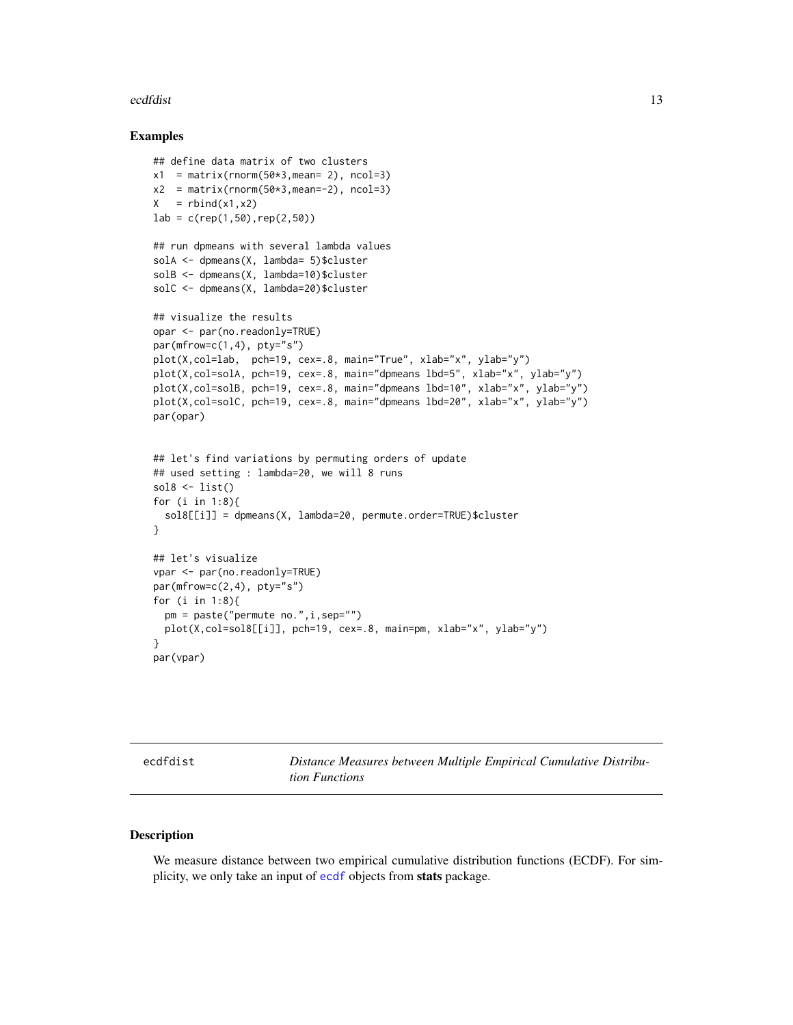#### <span id="page-12-0"></span>ecdfdist 13

#### Examples

```
## define data matrix of two clusters
x1 = matrix(rnorm(50*3,mean= 2), ncol=3)x2 = matrix(rnorm(50*3,mean=-2), ncol=3)X = \text{rbind}(x1, x2)lab = c(rep(1,50),rep(2,50))## run dpmeans with several lambda values
solA <- dpmeans(X, lambda= 5)$cluster
solB <- dpmeans(X, lambda=10)$cluster
solC <- dpmeans(X, lambda=20)$cluster
## visualize the results
opar <- par(no.readonly=TRUE)
par(mfrow=c(1,4), pty="s")plot(X,col=lab, pch=19, cex=.8, main="True", xlab="x", ylab="y")
plot(X,col=solA, pch=19, cex=.8, main="dpmeans lbd=5", xlab="x", ylab="y")
plot(X,col=solB, pch=19, cex=.8, main="dpmeans lbd=10", xlab="x", ylab="y")
plot(X,col=solC, pch=19, cex=.8, main="dpmeans lbd=20", xlab="x", ylab="y")
par(opar)
## let's find variations by permuting orders of update
## used setting : lambda=20, we will 8 runs
sol8 \leftarrow list()for (i in 1:8){
  sol8[[i]] = dpmeans(X, lambda=20, permute.order=TRUE)$cluster
}
## let's visualize
vpar <- par(no.readonly=TRUE)
par(mfrow=c(2,4), pty="s")for (i in 1:8){
  pm = paste("permute no.",i,sep="")
  plot(X,col=sol8[[i]], pch=19, cex=.8, main=pm, xlab="x", ylab="y")
}
par(vpar)
```
<span id="page-12-1"></span>

ecdfdist *Distance Measures between Multiple Empirical Cumulative Distribution Functions*

#### Description

We measure distance between two empirical cumulative distribution functions (ECDF). For simplicity, we only take an input of [ecdf](#page-0-0) objects from stats package.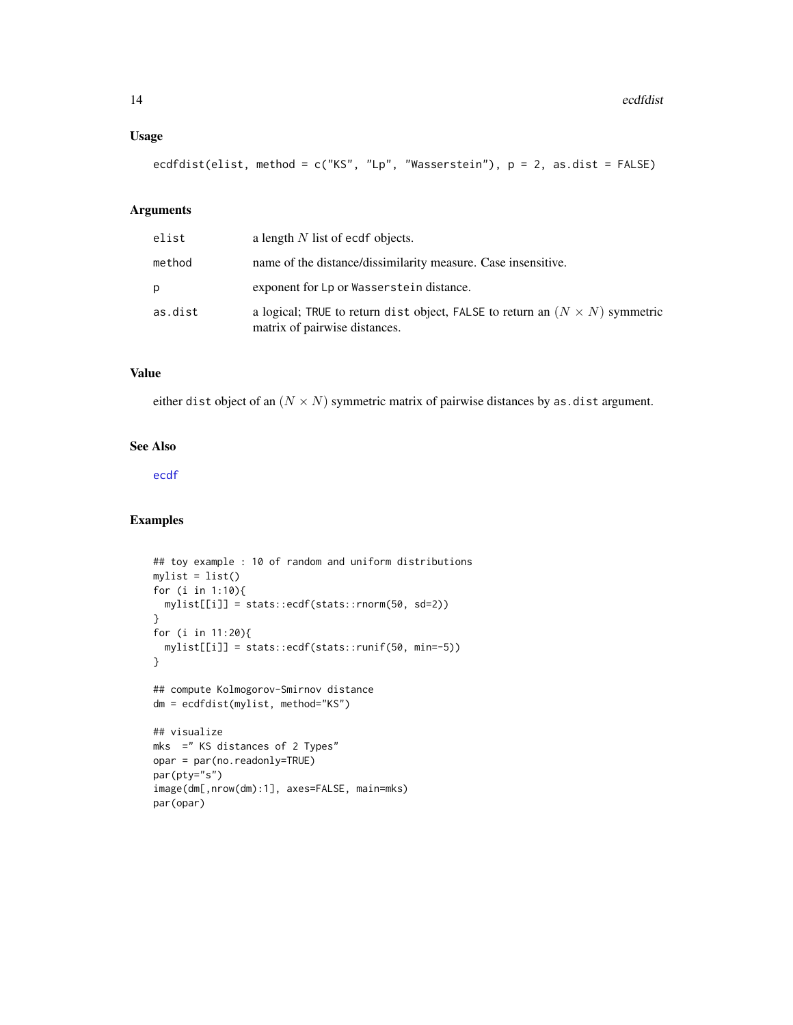# Usage

```
ecdfdist(elist, method = c("KS", "Lp", "Wasserstein"), p = 2, as.dist = FALSE)
```
# Arguments

| elist   | a length $N$ list of ecdf objects.                                                                                  |
|---------|---------------------------------------------------------------------------------------------------------------------|
| method  | name of the distance/dissimilarity measure. Case insensitive.                                                       |
| D       | exponent for Lp or Wasserstein distance.                                                                            |
| as.dist | a logical; TRUE to return dist object, FALSE to return an $(N \times N)$ symmetric<br>matrix of pairwise distances. |

# Value

either dist object of an  $(N \times N)$  symmetric matrix of pairwise distances by as.dist argument.

# See Also

[ecdf](#page-0-0)

```
## toy example : 10 of random and uniform distributions
mylist = list()
for (i in 1:10){
 mylist[[i]] = stats::ecdf(stats::rnorm(50, sd=2))
}
for (i in 11:20){
  mylist[[i]] = stats::ecdf(stats::runif(50, min=-5))
}
## compute Kolmogorov-Smirnov distance
dm = ecdfdist(mylist, method="KS")
## visualize
mks =" KS distances of 2 Types"
opar = par(no.readonly=TRUE)
par(pty="s")
image(dm[,nrow(dm):1], axes=FALSE, main=mks)
par(opar)
```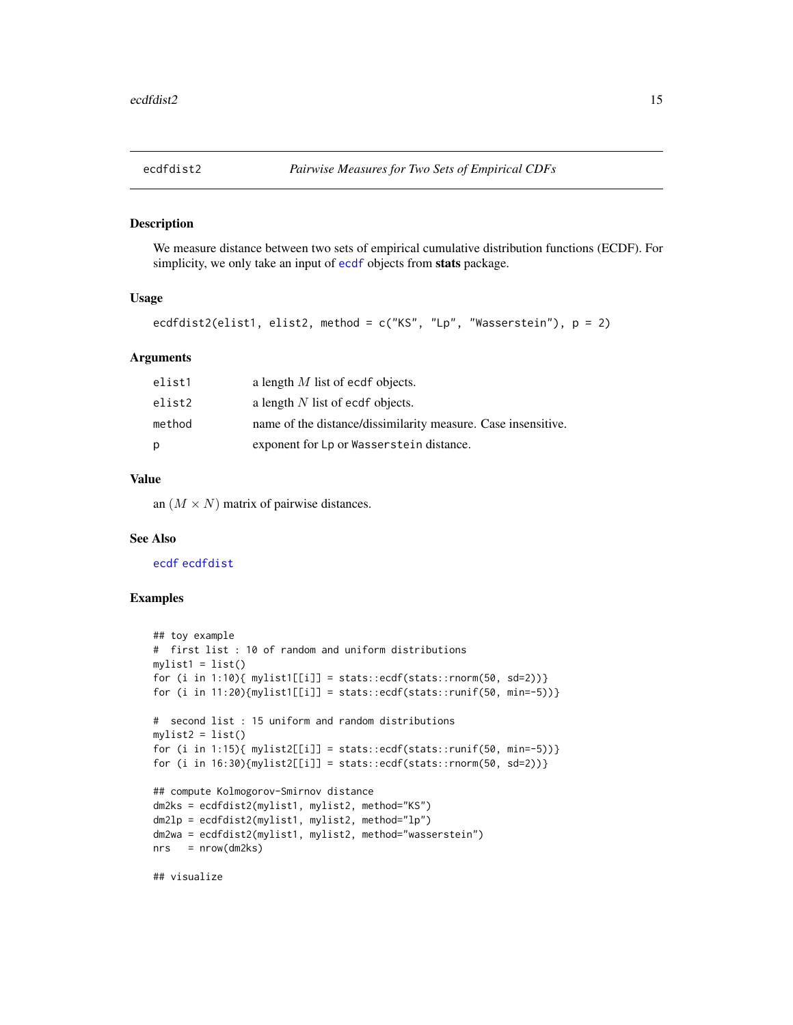<span id="page-14-0"></span>

We measure distance between two sets of empirical cumulative distribution functions (ECDF). For simplicity, we only take an input of [ecdf](#page-0-0) objects from stats package.

### Usage

ecdfdist2(elist1, elist2, method = c("KS", "Lp", "Wasserstein"), p = 2)

#### Arguments

| elist1 | a length $M$ list of ecdf objects.                            |
|--------|---------------------------------------------------------------|
| elist2 | a length $N$ list of ecdf objects.                            |
| method | name of the distance/dissimilarity measure. Case insensitive. |
| р      | exponent for Lp or Wasserstein distance.                      |

# Value

an  $(M \times N)$  matrix of pairwise distances.

### See Also

[ecdf](#page-0-0) [ecdfdist](#page-12-1)

#### Examples

```
## toy example
# first list : 10 of random and uniform distributions
mylist1 = list()for (i in 1:10){ mylist1[[i]] = stats::ecdf(stats::rnorm(50, sd=2))}
for (i in 11:20){mylist1[[i]] = stats::ecdf(stats::runif(50, min=-5))}
# second list : 15 uniform and random distributions
mylist2 = list()for (i in 1:15){ mylist2[[i]] = stats::ecdf(stats::runif(50, min=-5))}
for (i in 16:30){mylist2[[i]] = stats::ecdf(stats::rnorm(50, sd=2))}
## compute Kolmogorov-Smirnov distance
dm2ks = ecdfdist2(mylist1, mylist2, method="KS")
dm2lp = ecdfdist2(mylist1, mylist2, method="lp")
dm2wa = ecdfdist2(mylist1, mylist2, method="wasserstein")
nrs = nrow(dm2ks)
```
## visualize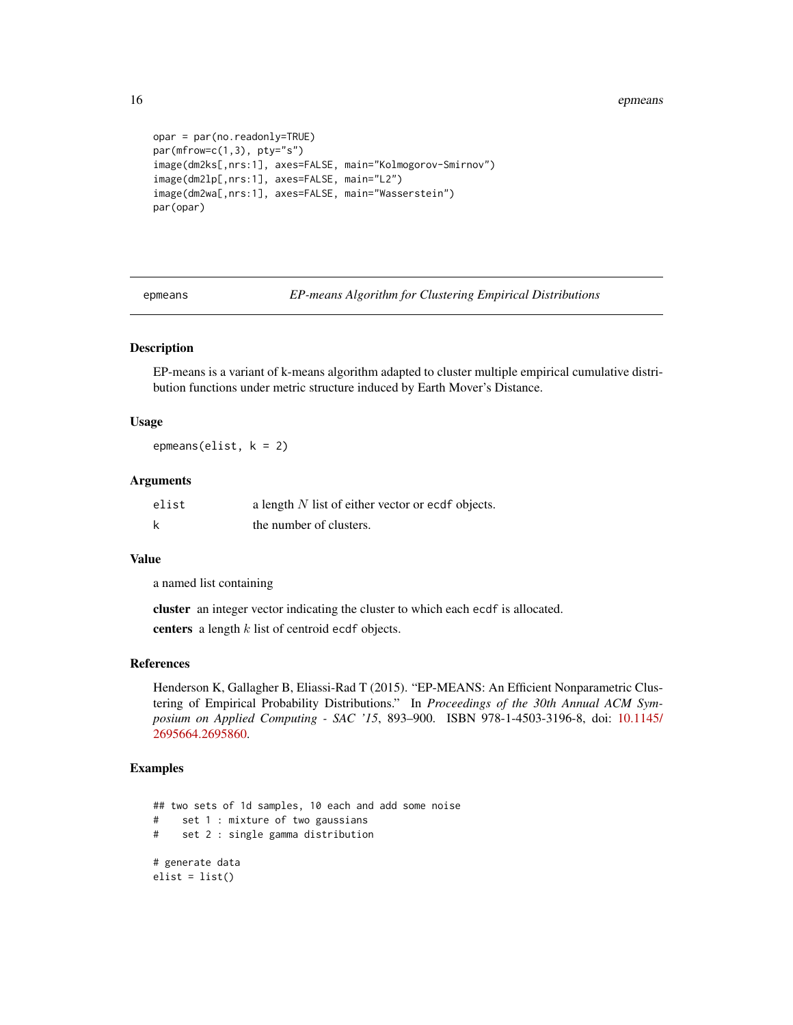<span id="page-15-0"></span>16 epineans and the contract of the contract of the contract of the contract of the contract of the contract of the contract of the contract of the contract of the contract of the contract of the contract of the contract o

```
opar = par(no.readonly=TRUE)
par(mfrow=c(1,3), pty="s")
image(dm2ks[,nrs:1], axes=FALSE, main="Kolmogorov-Smirnov")
image(dm2lp[,nrs:1], axes=FALSE, main="L2")
image(dm2wa[,nrs:1], axes=FALSE, main="Wasserstein")
par(opar)
```
epmeans *EP-means Algorithm for Clustering Empirical Distributions*

# Description

EP-means is a variant of k-means algorithm adapted to cluster multiple empirical cumulative distribution functions under metric structure induced by Earth Mover's Distance.

# Usage

epmeans(elist, k = 2)

#### Arguments

| elist | a length $N$ list of either vector or ecdf objects. |
|-------|-----------------------------------------------------|
| k     | the number of clusters.                             |

# Value

a named list containing

cluster an integer vector indicating the cluster to which each ecdf is allocated.

centers a length  $k$  list of centroid ecdf objects.

# References

Henderson K, Gallagher B, Eliassi-Rad T (2015). "EP-MEANS: An Efficient Nonparametric Clustering of Empirical Probability Distributions." In *Proceedings of the 30th Annual ACM Symposium on Applied Computing - SAC '15*, 893–900. ISBN 978-1-4503-3196-8, doi: [10.1145/](https://doi.org/10.1145/2695664.2695860) [2695664.2695860.](https://doi.org/10.1145/2695664.2695860)

```
## two sets of 1d samples, 10 each and add some noise
# set 1 : mixture of two gaussians
# set 2 : single gamma distribution
# generate data
elist = list()
```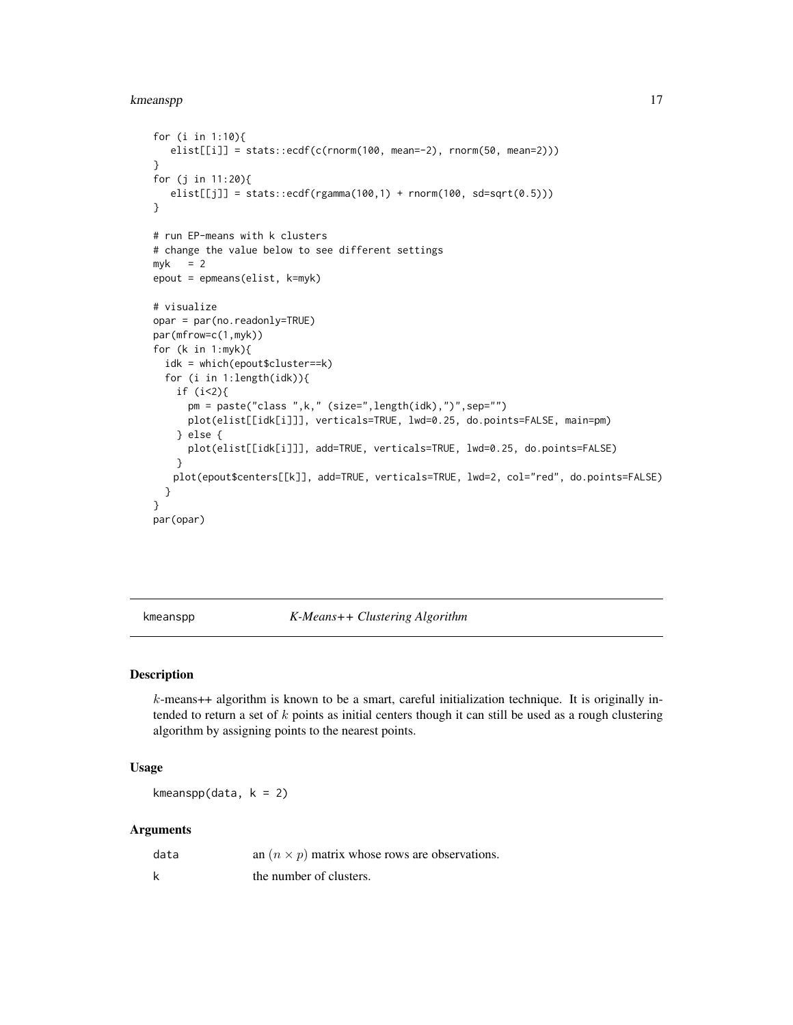#### <span id="page-16-0"></span>kmeanspp 17

```
for (i in 1:10){
   elist[[i]] = stats::ecd(c(rnorm(100, mean=-2), rnorm(50, mean=2)))}
for (j in 11:20){
   elist[[j]] = stats::ecdf(rgamma(100,1) + rnorm(100, sd=sqrt(0.5)))
}
# run EP-means with k clusters
# change the value below to see different settings
myk = 2epout = epmeans(elist, k=myk)
# visualize
opar = par(no.readonly=TRUE)
par(mfrow=c(1,myk))
for (k in 1:myk){
  idk = which(epout$cluster==k)
  for (i in 1:length(idk)){
   if (i<2){
      pm = paste("class ",k," (size=",length(idk),")",sep="")
      plot(elist[[idk[i]]], verticals=TRUE, lwd=0.25, do.points=FALSE, main=pm)
    } else {
      plot(elist[[idk[i]]], add=TRUE, verticals=TRUE, lwd=0.25, do.points=FALSE)
    }
   plot(epout$centers[[k]], add=TRUE, verticals=TRUE, lwd=2, col="red", do.points=FALSE)
  }
}
par(opar)
```
kmeanspp *K-Means++ Clustering Algorithm*

#### Description

 $k$ -means++ algorithm is known to be a smart, careful initialization technique. It is originally intended to return a set of  $k$  points as initial centers though it can still be used as a rough clustering algorithm by assigning points to the nearest points.

# Usage

kmeanspp(data,  $k = 2$ )

# Arguments

| data | an $(n \times p)$ matrix whose rows are observations. |
|------|-------------------------------------------------------|
|      | the number of clusters.                               |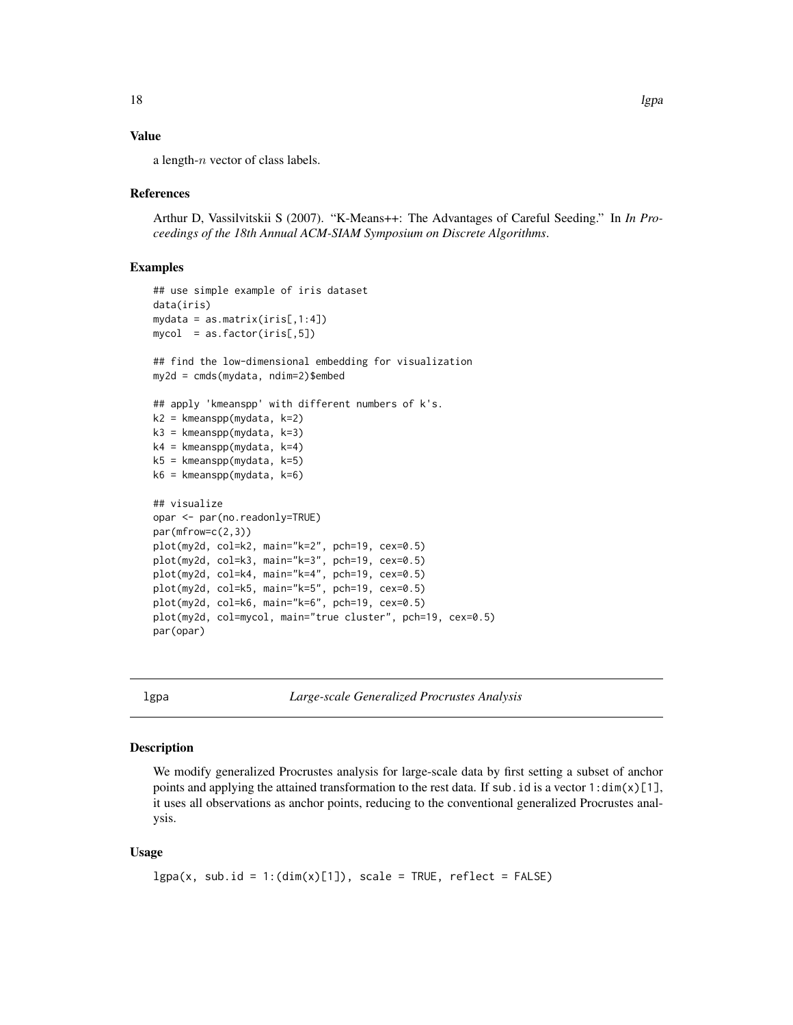#### <span id="page-17-0"></span>Value

a length- $n$  vector of class labels.

#### References

Arthur D, Vassilvitskii S (2007). "K-Means++: The Advantages of Careful Seeding." In *In Proceedings of the 18th Annual ACM-SIAM Symposium on Discrete Algorithms*.

# Examples

```
## use simple example of iris dataset
data(iris)
mydata = as.matrix(iris[,1:4])
mycol = as.factor(iris[,5])## find the low-dimensional embedding for visualization
my2d = cmds(mydata, ndim=2)$embed
## apply 'kmeanspp' with different numbers of k's.
k2 = kmeanspp(mydata, k=2)
k3 = kmeanspp(mydata, k=3)
k4 = kmeanspp(mydata, k=4)
k5 = kmeanspp(mydata, k=5)
k6 = kmeanspp(mydata, k=6)
## visualize
opar <- par(no.readonly=TRUE)
par(mfrow=c(2,3))
plot(my2d, col=k2, main="k=2", pch=19, cex=0.5)
plot(my2d, col=k3, main="k=3", pch=19, cex=0.5)
plot(my2d, col=k4, main="k=4", pch=19, cex=0.5)
plot(my2d, col=k5, main="k=5", pch=19, cex=0.5)
plot(my2d, col=k6, main="k=6", pch=19, cex=0.5)
plot(my2d, col=mycol, main="true cluster", pch=19, cex=0.5)
par(opar)
```
lgpa *Large-scale Generalized Procrustes Analysis*

# Description

We modify generalized Procrustes analysis for large-scale data by first setting a subset of anchor points and applying the attained transformation to the rest data. If sub. id is a vector  $1:dim(x)[1]$ , it uses all observations as anchor points, reducing to the conventional generalized Procrustes analysis.

#### Usage

```
lgpa(x, sub.id = 1:(dim(x)[1]), scale = TRUE, reflect = FALSE)
```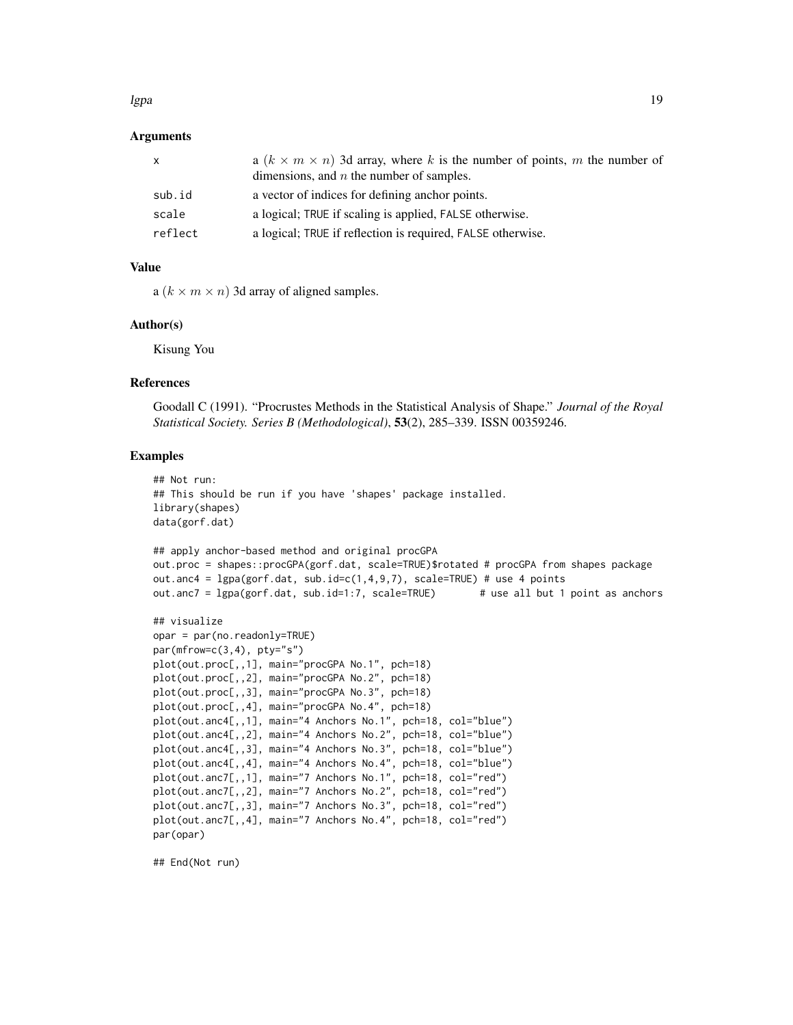#### lgpa terms of the state of the state of the state of the state of the state of the state of the state of the state of the state of the state of the state of the state of the state of the state of the state of the state of

# Arguments

| x       | a $(k \times m \times n)$ 3d array, where k is the number of points, m the number of<br>dimensions, and $n$ the number of samples. |
|---------|------------------------------------------------------------------------------------------------------------------------------------|
| sub.id  | a vector of indices for defining anchor points.                                                                                    |
| scale   | a logical; TRUE if scaling is applied, FALSE otherwise.                                                                            |
| reflect | a logical; TRUE if reflection is required, FALSE otherwise.                                                                        |

#### Value

a  $(k \times m \times n)$  3d array of aligned samples.

# Author(s)

Kisung You

#### References

Goodall C (1991). "Procrustes Methods in the Statistical Analysis of Shape." *Journal of the Royal Statistical Society. Series B (Methodological)*, 53(2), 285–339. ISSN 00359246.

# Examples

```
## Not run:
## This should be run if you have 'shapes' package installed.
library(shapes)
data(gorf.dat)
## apply anchor-based method and original procGPA
out.proc = shapes::procGPA(gorf.dat, scale=TRUE)$rotated # procGPA from shapes package
out.anc4 = lgpa(gorf.dat, sub.id=c(1,4,9,7), scale=TRUE) # use 4 pointsout.anc7 = lgpa(gorf.dat, sub.id=1:7, scale=TRUE) # use all but 1 point as anchors
## visualize
opar = par(no.readonly=True)par(mfrow=c(3,4), ptv="s")plot(out.proc[,,1], main="procGPA No.1", pch=18)
plot(out.proc[,,2], main="procGPA No.2", pch=18)
plot(out.proc[,,3], main="procGPA No.3", pch=18)
plot(out.proc[,,4], main="procGPA No.4", pch=18)
plot(out.anc4[,,1], main="4 Anchors No.1", pch=18, col="blue")
plot(out.anc4[,,2], main="4 Anchors No.2", pch=18, col="blue")
plot(out.anc4[,,3], main="4 Anchors No.3", pch=18, col="blue")
plot(out.anc4[,,4], main="4 Anchors No.4", pch=18, col="blue")
plot(out.anc7[,,1], main="7 Anchors No.1", pch=18, col="red")
plot(out.anc7[,,2], main="7 Anchors No.2", pch=18, col="red")
plot(out.anc7[,,3], main="7 Anchors No.3", pch=18, col="red")
plot(out.anc7[,,4], main="7 Anchors No.4", pch=18, col="red")
par(opar)
```
## End(Not run)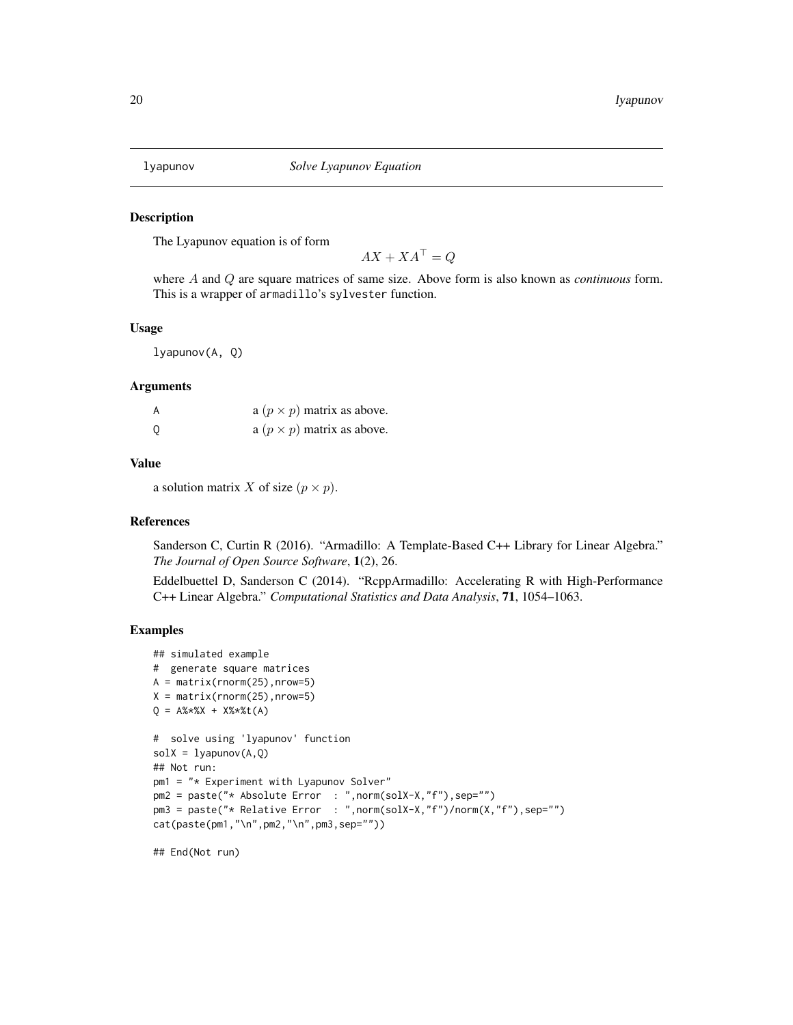<span id="page-19-0"></span>

The Lyapunov equation is of form

 $AX + XA^{\top} = Q$ 

where A and Q are square matrices of same size. Above form is also known as *continuous* form. This is a wrapper of armadillo's sylvester function.

#### Usage

lyapunov(A, Q)

#### Arguments

| A | a $(p \times p)$ matrix as above. |
|---|-----------------------------------|
| 0 | a $(p \times p)$ matrix as above. |

#### Value

a solution matrix X of size  $(p \times p)$ .

#### References

Sanderson C, Curtin R (2016). "Armadillo: A Template-Based C++ Library for Linear Algebra." *The Journal of Open Source Software*, 1(2), 26.

Eddelbuettel D, Sanderson C (2014). "RcppArmadillo: Accelerating R with High-Performance C++ Linear Algebra." *Computational Statistics and Data Analysis*, 71, 1054–1063.

#### Examples

```
## simulated example
# generate square matrices
A = matrix(rnorm(25), nrow=5)X = matrix(rnorm(25), nrow=5)Q = A\% * \%X + X\% * \%t(A)# solve using 'lyapunov' function
solX = 1yapunov(A, Q)## Not run:
pm1 = "* Experiment with Lyapunov Solver"
pm2 = paste("* Absolute Error : ",norm(solX-X,"f"),sep="")
pm3 = paste("* Relative Error : ",norm(solX-X,"f")/norm(X,"f"),sep="")
cat(paste(pm1,"\n",pm2,"\n",pm3,sep=""))
```
## End(Not run)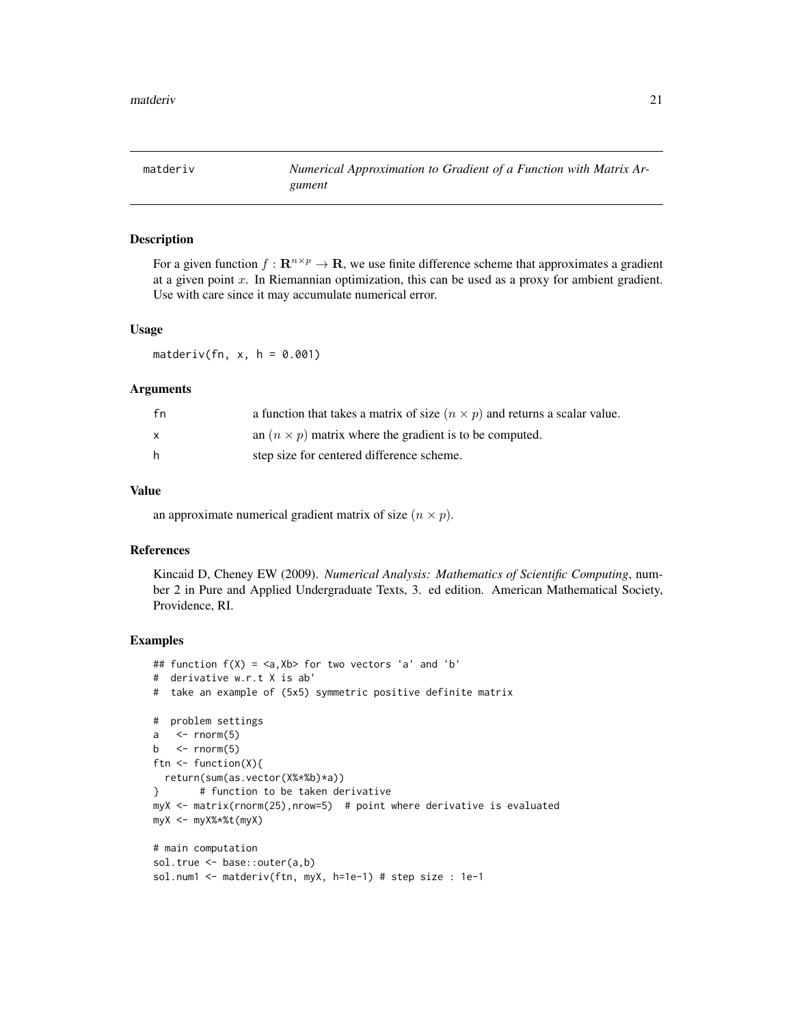<span id="page-20-0"></span>

For a given function  $f: \mathbf{R}^{n \times p} \to \mathbf{R}$ , we use finite difference scheme that approximates a gradient at a given point  $x$ . In Riemannian optimization, this can be used as a proxy for ambient gradient. Use with care since it may accumulate numerical error.

#### Usage

matderiv(fn,  $x$ ,  $h = 0.001$ )

#### Arguments

| fn       | a function that takes a matrix of size $(n \times p)$ and returns a scalar value. |
|----------|-----------------------------------------------------------------------------------|
| <b>X</b> | an $(n \times p)$ matrix where the gradient is to be computed.                    |
| h.       | step size for centered difference scheme.                                         |

### Value

an approximate numerical gradient matrix of size  $(n \times p)$ .

#### References

Kincaid D, Cheney EW (2009). *Numerical Analysis: Mathematics of Scientific Computing*, number 2 in Pure and Applied Undergraduate Texts, 3. ed edition. American Mathematical Society, Providence, RI.

```
## function f(X) = \langle a, Xb \rangle for two vectors 'a' and 'b'
# derivative w.r.t X is ab'
# take an example of (5x5) symmetric positive definite matrix
# problem settings
a \leq rnorm(5)b \leftarrow rnorm(5)ftn <- function(X){
 return(sum(as.vector(X%*%b)*a))
} # function to be taken derivative
myX <- matrix(rnorm(25),nrow=5) # point where derivative is evaluated
myX <- myX%*%t(myX)
# main computation
sol.true <- base::outer(a,b)
sol.num1 <- matderiv(ftn, myX, h=1e-1) # step size : 1e-1
```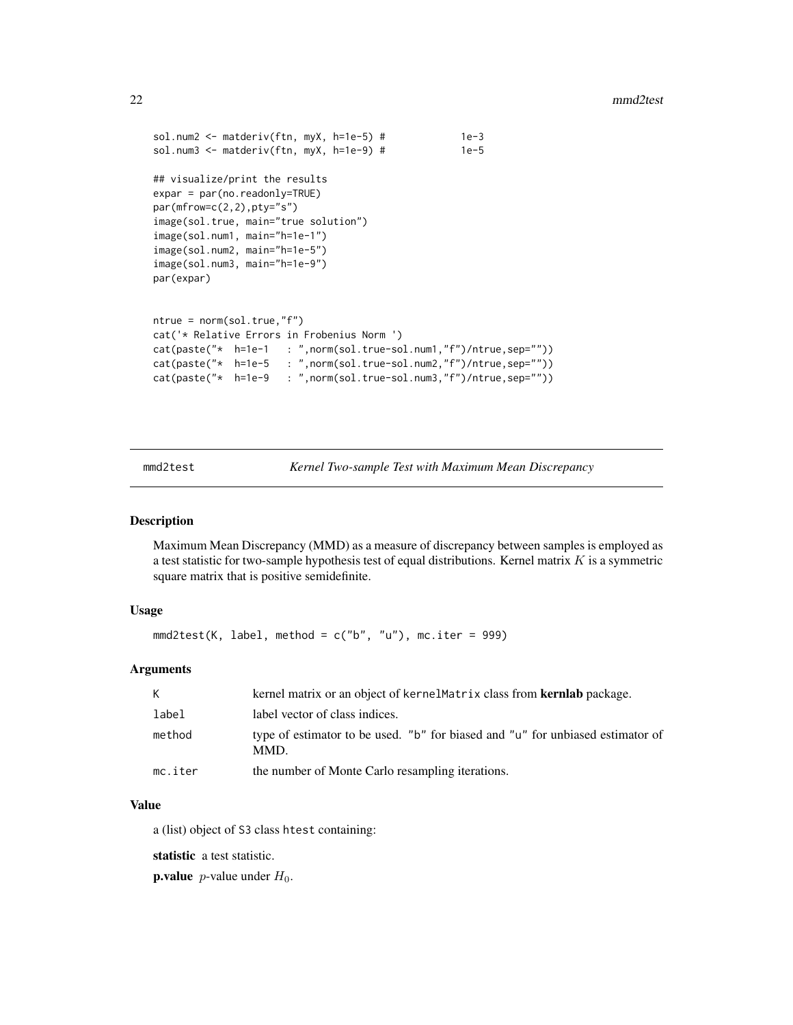#### 22 mmd2test

```
sol.num2 <- matderiv(ftn, myX, h=1e-5) # 1e-3sol.num3 <- matderiv(ftn, myX, h=1e-9) # 1e-5
## visualize/print the results
expar = par(no.readonly=TRUE)
par(mfrow=c(2,2),pty="s")
image(sol.true, main="true solution")
image(sol.num1, main="h=1e-1")
image(sol.num2, main="h=1e-5")
image(sol.num3, main="h=1e-9")
par(expar)
ntrue = norm(sol.true,"f")
cat('* Relative Errors in Frobenius Norm ')
cat(paste("* h=1e-1 : ",norm(sol.true-sol.num1,"f")/ntrue,sep=""))
cat(paste("* h=1e-5 : ",norm(sol.true-sol.num2,"f")/ntrue,sep=""))
cat(paste("* h=1e-9 : ",norm(sol.true-sol.num3,"f")/ntrue,sep=""))
```
mmd2test *Kernel Two-sample Test with Maximum Mean Discrepancy*

### Description

Maximum Mean Discrepancy (MMD) as a measure of discrepancy between samples is employed as a test statistic for two-sample hypothesis test of equal distributions. Kernel matrix  $K$  is a symmetric square matrix that is positive semidefinite.

# Usage

```
mmd2test(K, label, method = c("b", "u"), mc.iter = 999)
```
# Arguments

| K       | kernel matrix or an object of kernel Matrix class from <b>kerniab</b> package.         |
|---------|----------------------------------------------------------------------------------------|
| label   | label vector of class indices.                                                         |
| method  | type of estimator to be used. "b" for biased and "u" for unbiased estimator of<br>MMD. |
| mc.iter | the number of Monte Carlo resampling iterations.                                       |

# Value

a (list) object of S3 class htest containing:

statistic a test statistic.

**p.value** *p*-value under  $H_0$ .

<span id="page-21-0"></span>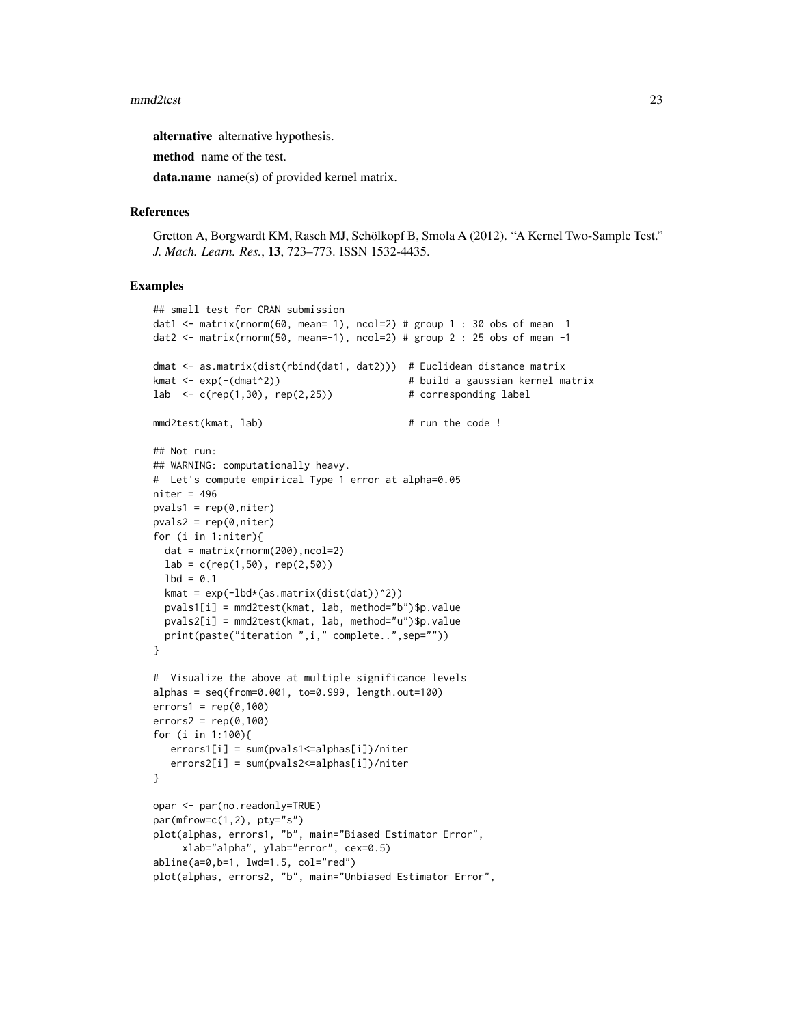#### mmd2test 23

alternative alternative hypothesis.

method name of the test.

data.name name(s) of provided kernel matrix.

# References

Gretton A, Borgwardt KM, Rasch MJ, Schölkopf B, Smola A (2012). "A Kernel Two-Sample Test." *J. Mach. Learn. Res.*, 13, 723–773. ISSN 1532-4435.

```
## small test for CRAN submission
dat1 <- matrix(rnorm(60, mean= 1), ncol=2) # group 1 : 30 obs of mean 1
dat2 \le matrix(rnorm(50, mean=-1), ncol=2) # group 2 : 25 obs of mean -1
dmat <- as.matrix(dist(rbind(dat1, dat2))) # Euclidean distance matrix
kmat <- exp(-(dmat^2)) # build a gaussian kernel matrix
lab \leftarrow c(rep(1,30), rep(2,25)) # corresponding label
mmd2test(kmat, lab) # run the code !
## Not run:
## WARNING: computationally heavy.
# Let's compute empirical Type 1 error at alpha=0.05
niter = 496
pvals1 = rep(0,niter)pvals2 = rep(0,niter)for (i in 1:niter){
 dat = matrix(rnorm(200),ncol=2)
 lab = c(rep(1,50), rep(2,50))1bd = 0.1kmat = exp(-lbd*(as.matrix(dist(dat))^2))
 pvals1[i] = mmd2test(kmat, lab, method="b")$p.value
 pvals2[i] = mmd2test(kmat, lab, method="u")$p.value
 print(paste("iteration ",i," complete..",sep=""))
}
# Visualize the above at multiple significance levels
alphas = seq(from=0.001, to=0.999, length.out=100)
errors1 = rep(0,100)errors2 = rep(0,100)for (i in 1:100){
  errors1[i] = sum(pvals1<=alphas[i])/niter
  errors2[i] = sum(pvals2<=alphas[i])/niter
}
opar <- par(no.readonly=TRUE)
par(mfrow=c(1,2), pty='s")plot(alphas, errors1, "b", main="Biased Estimator Error",
     xlab="alpha", ylab="error", cex=0.5)
abline(a=0,b=1, lwd=1.5, col="red")
plot(alphas, errors2, "b", main="Unbiased Estimator Error",
```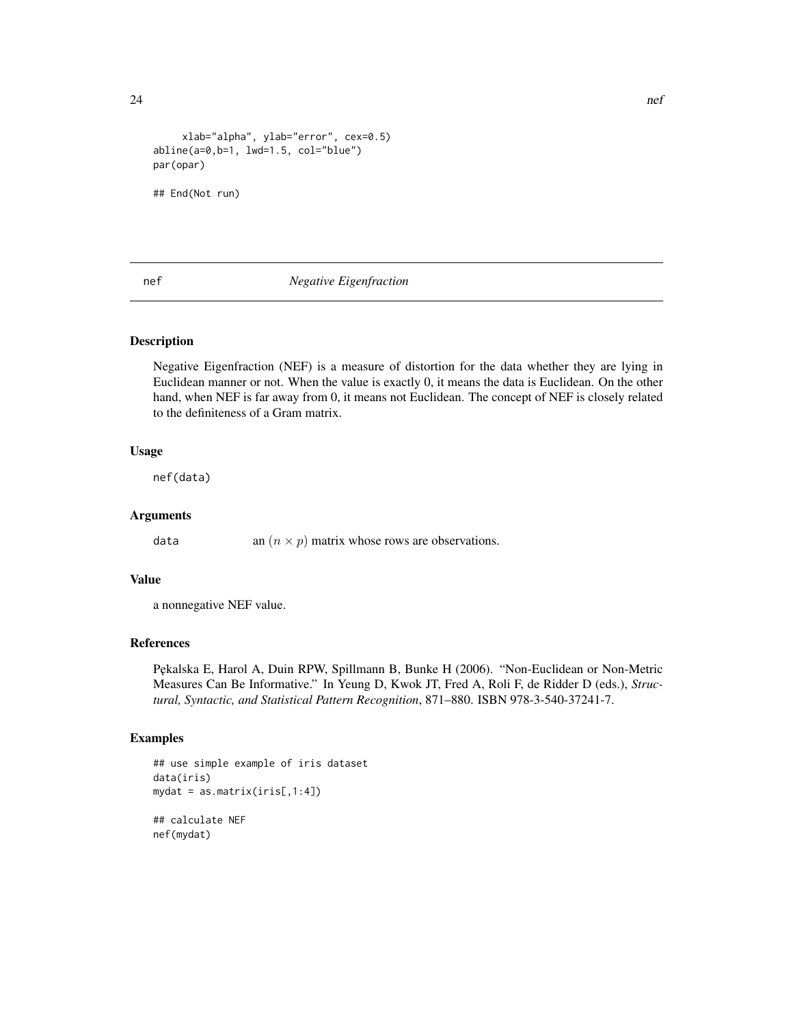```
xlab="alpha", ylab="error", cex=0.5)
abline(a=0,b=1, lwd=1.5, col="blue")
par(opar)
## End(Not run)
```
# nef *Negative Eigenfraction*

# Description

Negative Eigenfraction (NEF) is a measure of distortion for the data whether they are lying in Euclidean manner or not. When the value is exactly 0, it means the data is Euclidean. On the other hand, when NEF is far away from 0, it means not Euclidean. The concept of NEF is closely related to the definiteness of a Gram matrix.

### Usage

nef(data)

#### Arguments

data an  $(n \times p)$  matrix whose rows are observations.

# Value

a nonnegative NEF value.

# References

P˛ekalska E, Harol A, Duin RPW, Spillmann B, Bunke H (2006). "Non-Euclidean or Non-Metric Measures Can Be Informative." In Yeung D, Kwok JT, Fred A, Roli F, de Ridder D (eds.), *Structural, Syntactic, and Statistical Pattern Recognition*, 871–880. ISBN 978-3-540-37241-7.

#### Examples

```
## use simple example of iris dataset
data(iris)
mydat = as_matrix(iris[,1:4])## calculate NEF
nef(mydat)
```
<span id="page-23-0"></span> $24$  nef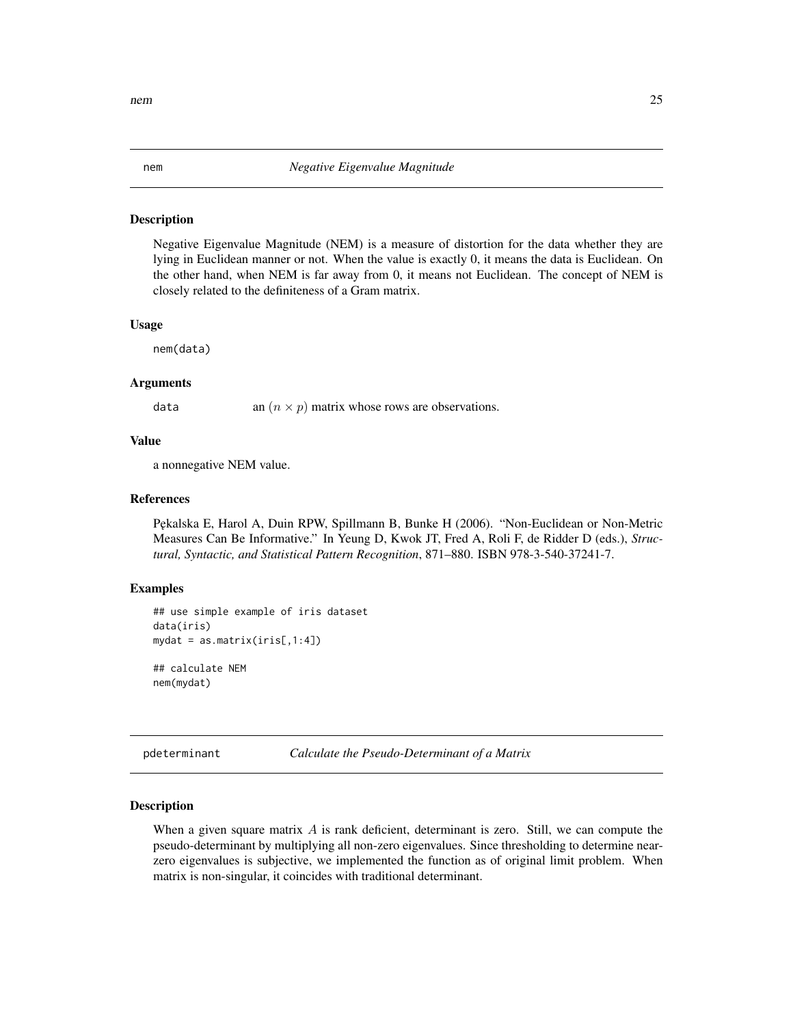<span id="page-24-0"></span>Negative Eigenvalue Magnitude (NEM) is a measure of distortion for the data whether they are lying in Euclidean manner or not. When the value is exactly 0, it means the data is Euclidean. On the other hand, when NEM is far away from 0, it means not Euclidean. The concept of NEM is closely related to the definiteness of a Gram matrix.

#### Usage

nem(data)

# Arguments

data an  $(n \times p)$  matrix whose rows are observations.

# Value

a nonnegative NEM value.

# References

P˛ekalska E, Harol A, Duin RPW, Spillmann B, Bunke H (2006). "Non-Euclidean or Non-Metric Measures Can Be Informative." In Yeung D, Kwok JT, Fred A, Roli F, de Ridder D (eds.), *Structural, Syntactic, and Statistical Pattern Recognition*, 871–880. ISBN 978-3-540-37241-7.

#### Examples

```
## use simple example of iris dataset
data(iris)
mydat = as_matrix(iris[,1:4])
```
## calculate NEM nem(mydat)

pdeterminant *Calculate the Pseudo-Determinant of a Matrix*

#### Description

When a given square matrix  $\vec{A}$  is rank deficient, determinant is zero. Still, we can compute the pseudo-determinant by multiplying all non-zero eigenvalues. Since thresholding to determine nearzero eigenvalues is subjective, we implemented the function as of original limit problem. When matrix is non-singular, it coincides with traditional determinant.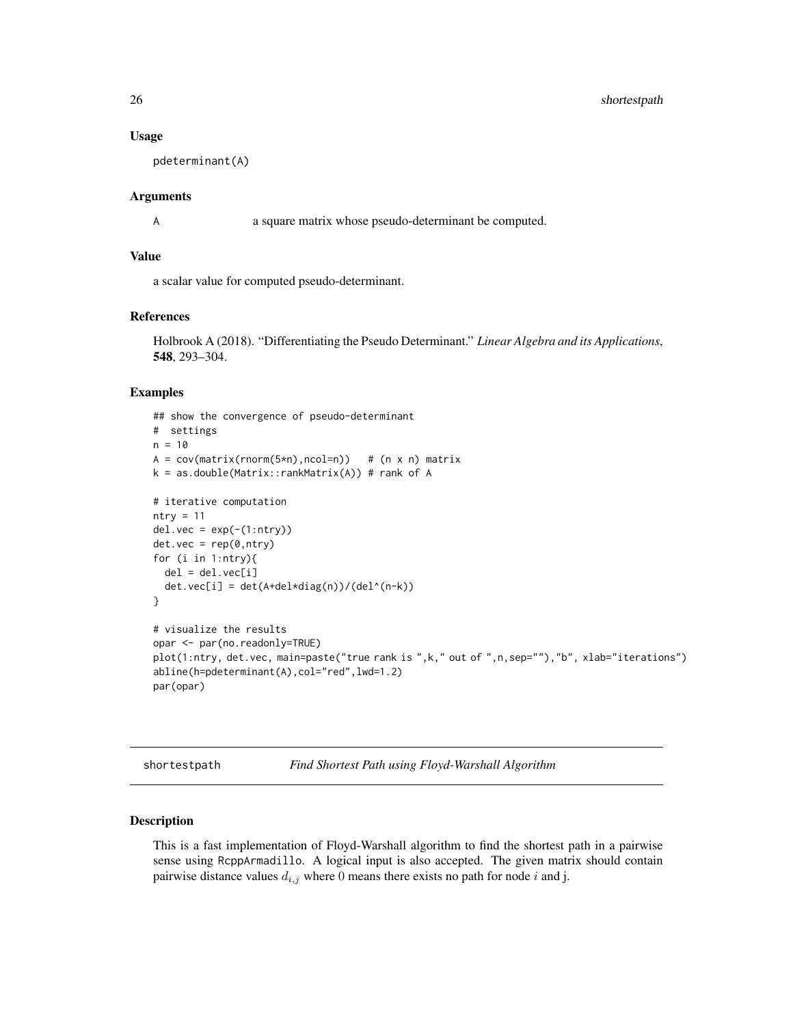# <span id="page-25-0"></span>26 shortestpath

#### Usage

pdeterminant(A)

#### Arguments

A a square matrix whose pseudo-determinant be computed.

# Value

a scalar value for computed pseudo-determinant.

# References

Holbrook A (2018). "Differentiating the Pseudo Determinant." *Linear Algebra and its Applications*, 548, 293–304.

### Examples

```
## show the convergence of pseudo-determinant
# settings
n = 10A = cov(matrix(rnorm(5*n),ncol=n)) # (n \times n) matrix
k = as.double(Matrix::rankMatrix(A)) # rank of A# iterative computation
ntry = 11del.vec = exp(-(1:ntry))det.vec = rep(0,ntry)
for (i in 1:ntry){
  del = del.vec[i]det.vec[i] = det(A+del*diag(n))/(del^(n-k))}
# visualize the results
opar <- par(no.readonly=TRUE)
plot(1:ntry, det.vec, main=paste("true rank is ",k," out of ",n,sep=""),"b", xlab="iterations")
abline(h=pdeterminant(A),col="red",lwd=1.2)
par(opar)
```
shortestpath *Find Shortest Path using Floyd-Warshall Algorithm*

# Description

This is a fast implementation of Floyd-Warshall algorithm to find the shortest path in a pairwise sense using RcppArmadillo. A logical input is also accepted. The given matrix should contain pairwise distance values  $d_{i,j}$  where 0 means there exists no path for node i and j.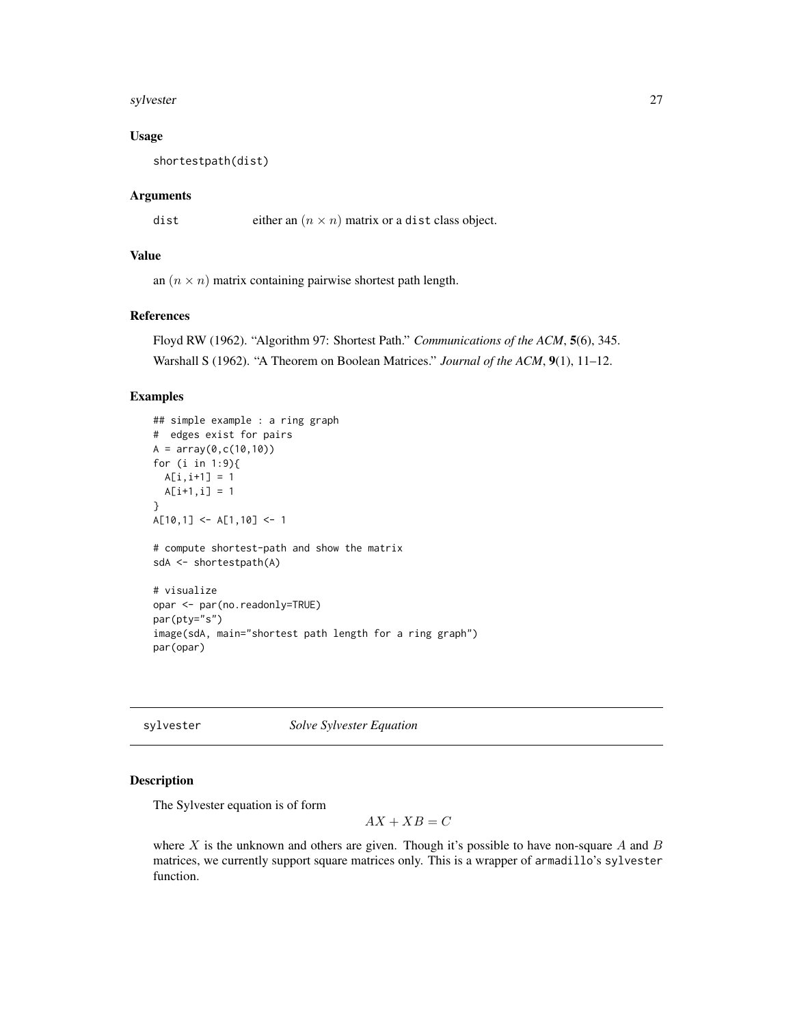#### <span id="page-26-0"></span>sylvester 27

# Usage

shortestpath(dist)

# Arguments

dist either an  $(n \times n)$  matrix or a dist class object.

# Value

an  $(n \times n)$  matrix containing pairwise shortest path length.

# References

Floyd RW (1962). "Algorithm 97: Shortest Path." *Communications of the ACM*, 5(6), 345.

Warshall S (1962). "A Theorem on Boolean Matrices." *Journal of the ACM*, 9(1), 11–12.

# Examples

```
## simple example : a ring graph
# edges exist for pairs
A = array(0, c(10, 10))for (i in 1:9){
 A[i, i+1] = 1A[i+1,i] = 1
}
A[10,1] <- A[1,10] <- 1
# compute shortest-path and show the matrix
sdA <- shortestpath(A)
# visualize
opar <- par(no.readonly=TRUE)
par(pty="s")
image(sdA, main="shortest path length for a ring graph")
par(opar)
```
sylvester *Solve Sylvester Equation*

#### Description

The Sylvester equation is of form

 $AX + XB = C$ 

where  $X$  is the unknown and others are given. Though it's possible to have non-square  $A$  and  $B$ matrices, we currently support square matrices only. This is a wrapper of armadillo's sylvester function.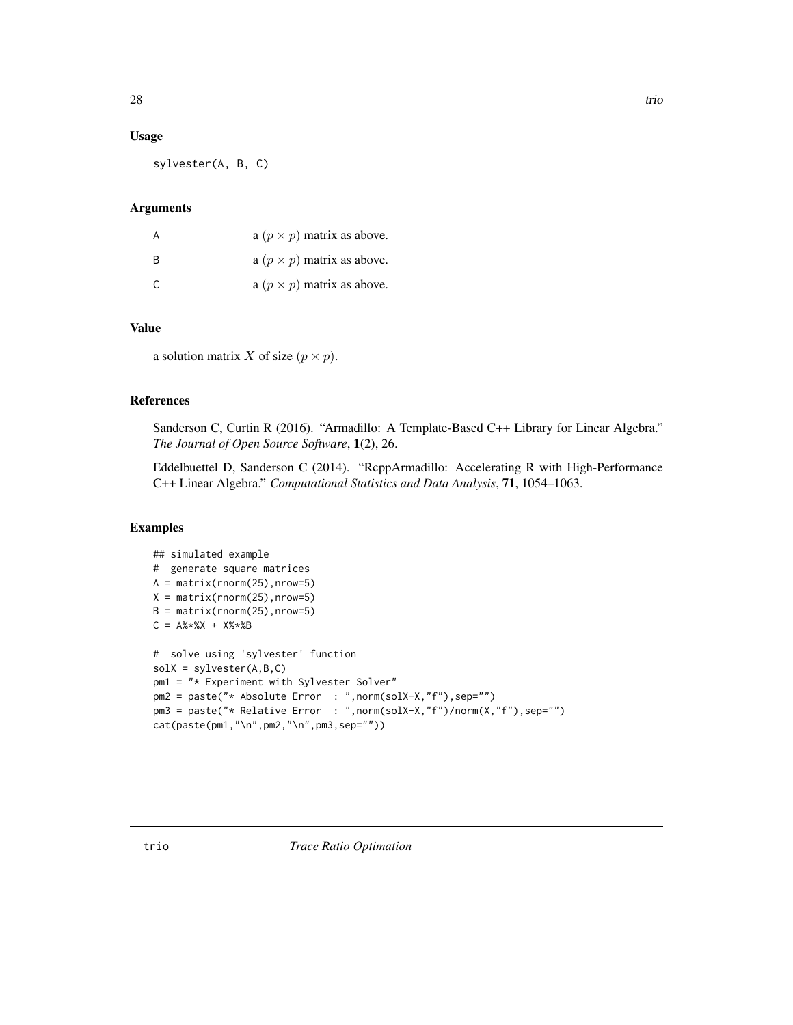#### <span id="page-27-0"></span>Usage

sylvester(A, B, C)

#### Arguments

| A  | a $(p \times p)$ matrix as above. |
|----|-----------------------------------|
| B  | a $(p \times p)$ matrix as above. |
| C. | a $(p \times p)$ matrix as above. |

# Value

a solution matrix X of size  $(p \times p)$ .

# References

Sanderson C, Curtin R (2016). "Armadillo: A Template-Based C++ Library for Linear Algebra." *The Journal of Open Source Software*, 1(2), 26.

Eddelbuettel D, Sanderson C (2014). "RcppArmadillo: Accelerating R with High-Performance C++ Linear Algebra." *Computational Statistics and Data Analysis*, 71, 1054–1063.

```
## simulated example
# generate square matrices
A = matrix(rnorm(25),nrow=5)
X = matrix(rnorm(25), nrow=5)B = matrix(rnorm(25), nrow=5)C = A\% * \%X + X\% * \%B# solve using 'sylvester' function
solX = sylvester(A,B,C)
pm1 = "* Experiment with Sylvester Solver"
pm2 = paste("* Absolute Error : ",norm(solX-X,"f"),sep="")
pm3 = paste("* Relative Error : ",norm(solX-X,"f")/norm(X,"f"),sep="")
cat(paste(pm1,"\n",pm2,"\n",pm3,sep=""))
```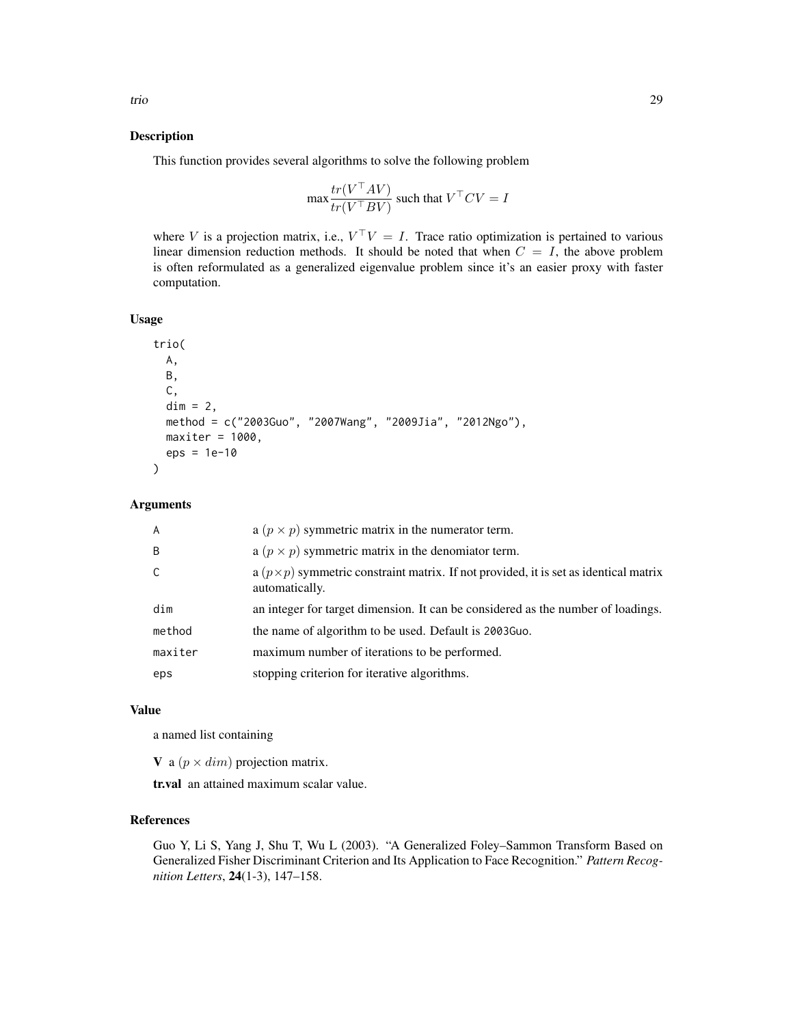This function provides several algorithms to solve the following problem

$$
\max \frac{tr(V^{\top}AV)}{tr(V^{\top}BV)}
$$
 such that  $V^{\top}CV = I$ 

where V is a projection matrix, i.e.,  $V^{\top}V = I$ . Trace ratio optimization is pertained to various linear dimension reduction methods. It should be noted that when  $C = I$ , the above problem is often reformulated as a generalized eigenvalue problem since it's an easier proxy with faster computation.

# Usage

```
trio(
  A,
  B,
  C,
  dim = 2,
 method = c("2003Guo", "2007Wang", "2009Jia", "2012Ngo"),
 maxiter = 1000,eps = 1e-10
)
```
# Arguments

| $\overline{A}$ | a $(p \times p)$ symmetric matrix in the numerator term.                                                       |
|----------------|----------------------------------------------------------------------------------------------------------------|
| B              | a $(p \times p)$ symmetric matrix in the denomiator term.                                                      |
| $\mathsf{C}$   | a $(p \times p)$ symmetric constraint matrix. If not provided, it is set as identical matrix<br>automatically. |
| dim            | an integer for target dimension. It can be considered as the number of loadings.                               |
| method         | the name of algorithm to be used. Default is 2003 Guo.                                                         |
| maxiter        | maximum number of iterations to be performed.                                                                  |
| eps            | stopping criterion for iterative algorithms.                                                                   |

#### Value

a named list containing

**V** a ( $p \times dim$ ) projection matrix.

tr.val an attained maximum scalar value.

# References

Guo Y, Li S, Yang J, Shu T, Wu L (2003). "A Generalized Foley–Sammon Transform Based on Generalized Fisher Discriminant Criterion and Its Application to Face Recognition." *Pattern Recognition Letters*, 24(1-3), 147–158.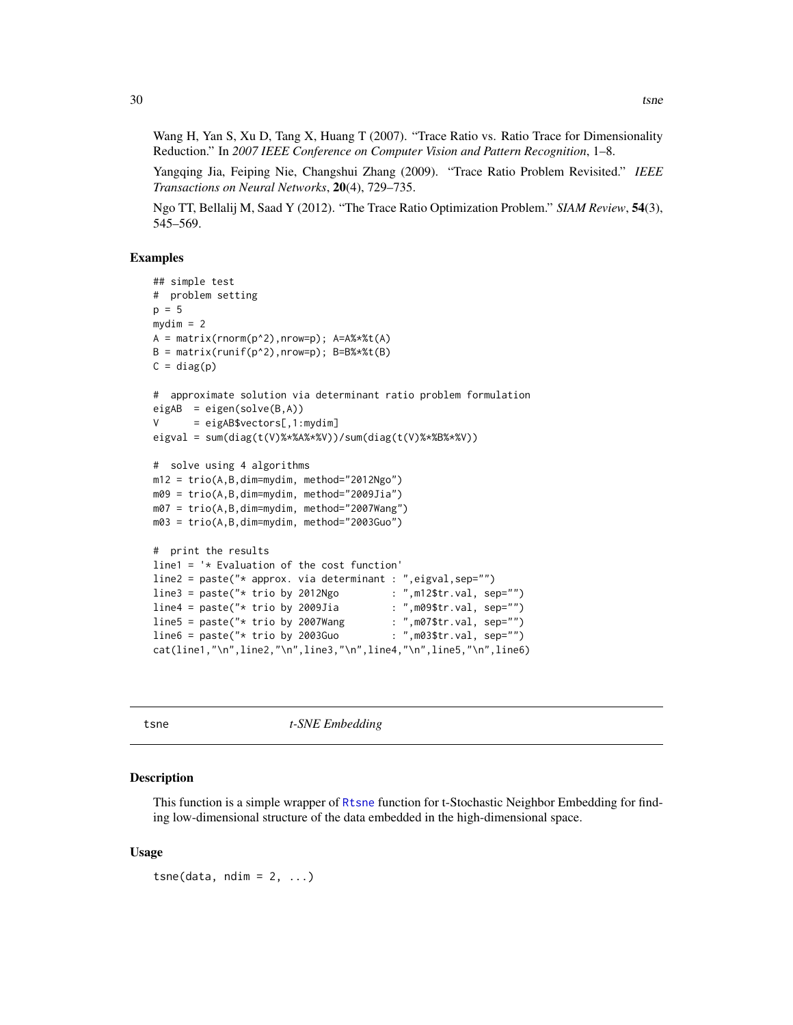<span id="page-29-0"></span>Wang H, Yan S, Xu D, Tang X, Huang T (2007). "Trace Ratio vs. Ratio Trace for Dimensionality Reduction." In *2007 IEEE Conference on Computer Vision and Pattern Recognition*, 1–8.

Yangqing Jia, Feiping Nie, Changshui Zhang (2009). "Trace Ratio Problem Revisited." *IEEE Transactions on Neural Networks*, 20(4), 729–735.

Ngo TT, Bellalij M, Saad Y (2012). "The Trace Ratio Optimization Problem." *SIAM Review*, 54(3), 545–569.

# Examples

```
## simple test
# problem setting
p = 5mydim = 2A = matrix(rnorm(p^2),nrow=p); A=A%*%t(A)B = matrix(runit(p^2),nrow=p); B=B\ * (tB)C = diag(p)# approximate solution via determinant ratio problem formulation
eigAB = eigenv(solve(B,A))V = eigAB$vectors[, 1:mydim]eigval = sum(diag(t(V)%*%A%*%V))/sum(diag(t(V)%*%B%*%V))
# solve using 4 algorithms
m12 = trio(A,B,dim=mydim, method="2012Ngo")
m09 = trio(A,B,dim=mydim, method="2009Jia")
m07 = trio(A,B,dim=mydim, method="2007Wang")
m03 = trio(A,B,dim=mydim, method="2003Guo")
# print the results
line1 = '* Evaluation of the cost function'
line2 = paste("* approx. via determinant : ",eigval,sep="")<br>line3 = paste("* trio by 2012Ngo : ",m12$tr.val, sep="")
line3 = paste("* trio by 2012Ngo : ",m12$tr.val, sep="")<br>line4 = paste("* trio by 2009Jia : ",m09$tr.val, sep="")
line4 = paste("* trio by 2009Jia            : ",m09$tr.val, sep="")<br>line5 = paste("* trio by 2007Wang          : ",m07$tr.val, sep="")
line5 = paste("* trio by 2007Wang
line6 = paste("* trio by 2003Guo : ",m03$tr.val, sep="")cat(line1,"\n",line2,"\n",line3,"\n",line4,"\n",line5,"\n",line6)
```
tsne *t-SNE Embedding*

#### **Description**

This function is a simple wrapper of [Rtsne](#page-0-0) function for t-Stochastic Neighbor Embedding for finding low-dimensional structure of the data embedded in the high-dimensional space.

#### Usage

 $t$ sne(data, ndim = 2, ...)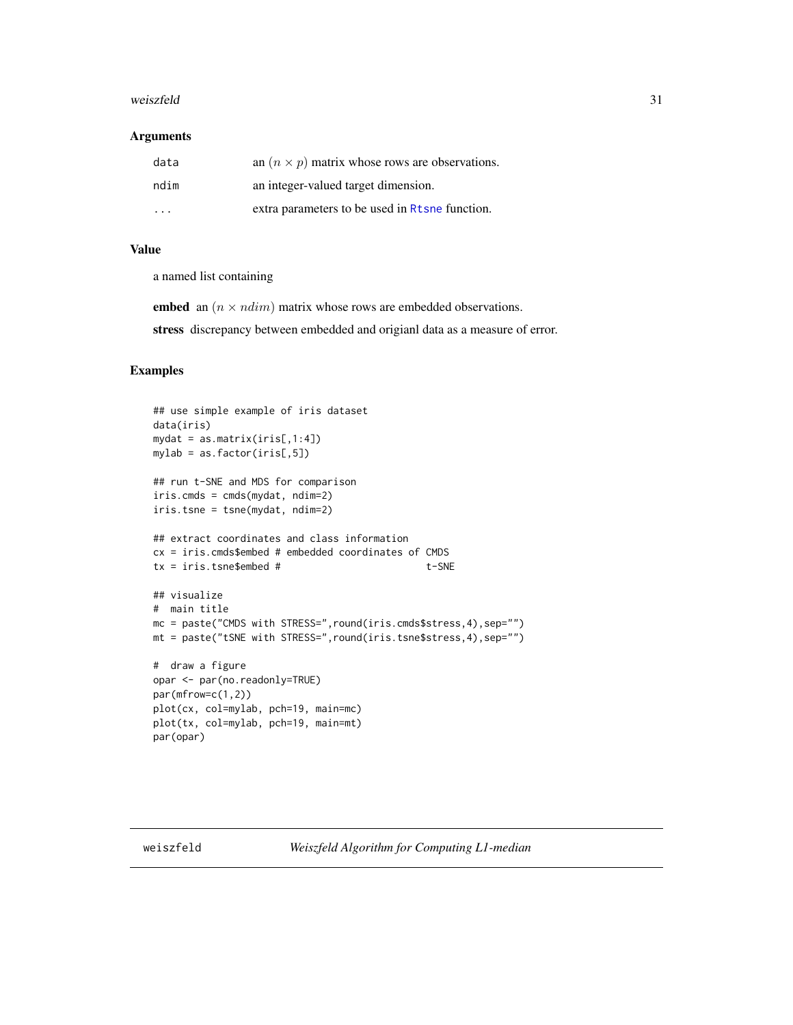#### <span id="page-30-0"></span>weiszfeld 31

#### **Arguments**

| data                    | an $(n \times p)$ matrix whose rows are observations. |
|-------------------------|-------------------------------------------------------|
| ndim                    | an integer-valued target dimension.                   |
| $\cdot$ $\cdot$ $\cdot$ | extra parameters to be used in Rtsne function.        |

# Value

a named list containing

embed an  $(n \times ndim)$  matrix whose rows are embedded observations.

stress discrepancy between embedded and origianl data as a measure of error.

# Examples

```
## use simple example of iris dataset
data(iris)
mydat = as.matrix(iris[,1:4])
mylab = as.factor(iris[,5])
## run t-SNE and MDS for comparison
iris.cmds = cmds(mydat, ndim=2)
iris.tsne = tsne(mydat, ndim=2)
## extract coordinates and class information
cx = iris.cmds$embed # embedded coordinates of CMDS
tx = iris.tsne$embed # t-SNE
## visualize
# main title
mc = paste("CMDS with STRESS=",round(iris.cmds$stress,4),sep="")
mt = paste("tSNE with STRESS=",round(iris.tsne$stress,4),sep="")
# draw a figure
opar <- par(no.readonly=TRUE)
par(mfrow=c(1,2))
plot(cx, col=mylab, pch=19, main=mc)
plot(tx, col=mylab, pch=19, main=mt)
par(opar)
```
weiszfeld *Weiszfeld Algorithm for Computing L1-median*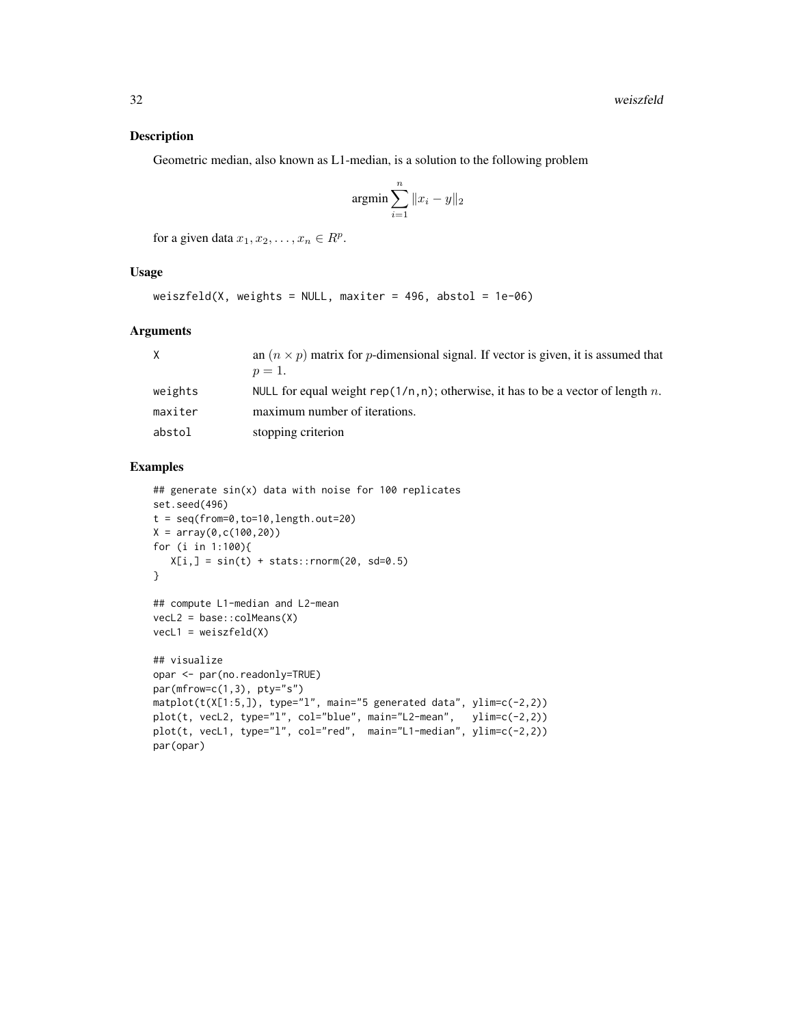Geometric median, also known as L1-median, is a solution to the following problem

$$
\operatorname{argmin} \sum_{i=1}^{n} \|x_i - y\|_2
$$

for a given data  $x_1, x_2, \ldots, x_n \in R^p$ .

#### Usage

```
weiszfeld(X, weights = NULL, maxiter = 496, abstol = 1e-06)
```
#### Arguments

|         | an $(n \times p)$ matrix for p-dimensional signal. If vector is given, it is assumed that |
|---------|-------------------------------------------------------------------------------------------|
|         | $p=1$ .                                                                                   |
| weights | NULL for equal weight rep( $1/n, n$ ); otherwise, it has to be a vector of length n.      |
| maxiter | maximum number of iterations.                                                             |
| abstol  | stopping criterion                                                                        |

```
## generate sin(x) data with noise for 100 replicates
set.seed(496)
t = seq(from=0, to=10, length.out=20)X = array(0, c(100, 20))for (i in 1:100){
  X[i,] = sin(t) + stats::rnorm(20, sd=0.5)}
## compute L1-median and L2-mean
vecL2 = base::colMeans(X)
\text{vec}1 = \text{weights}\## visualize
opar <- par(no.readonly=TRUE)
par(mfrow=c(1,3), pty="s")
matplot(t(X[1:5,]), type="l", main="5 generated data", ylim=c(-2,2))
plot(t, vecL2, type="l", col="blue", main="L2-mean", ylim=c(-2,2))
plot(t, vecL1, type="l", col="red", main="L1-median", ylim=c(-2,2))
par(opar)
```